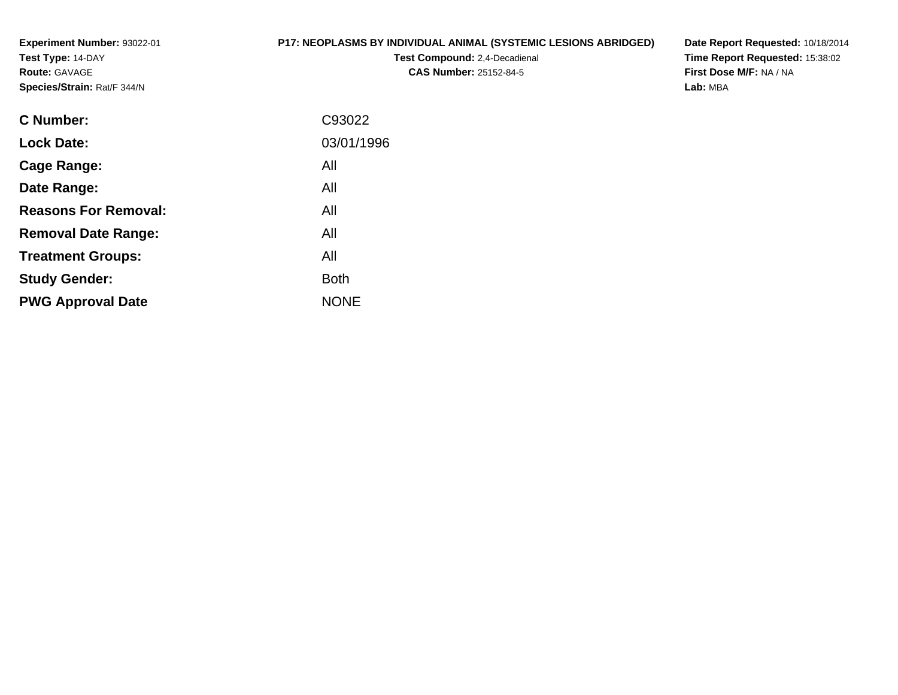**Experiment Number:** 93022-01**Test Type:** 14-DAY**Route:** GAVAGE**Species/Strain:** Rat/F 344/N

## **P17: NEOPLASMS BY INDIVIDUAL ANIMAL (SYSTEMIC LESIONS ABRIDGED)**

**Test Compound:** 2,4-Decadienal **CAS Number:** 25152-84-5

**Date Report Requested:** 10/18/2014 **Time Report Requested:** 15:38:02**First Dose M/F:** NA / NA**Lab:** MBA

| C93022      |
|-------------|
| 03/01/1996  |
| All         |
| All         |
| All         |
| All         |
| All         |
| <b>Both</b> |
| <b>NONE</b> |
|             |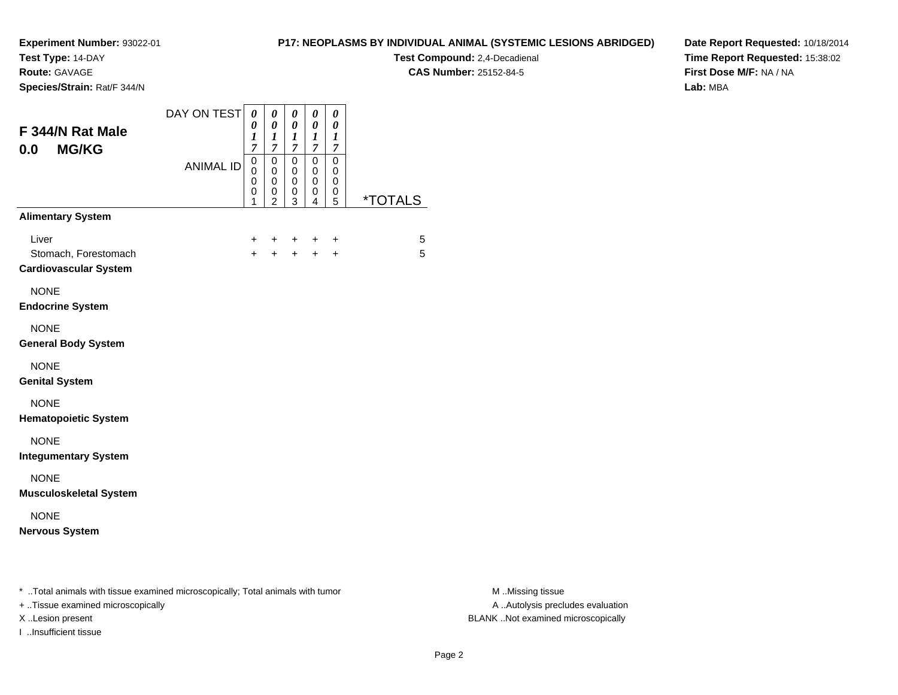**Test Type:** 14-DAY

**Route:** GAVAGE

**Species/Strain:** Rat/F 344/N

## **P17: NEOPLASMS BY INDIVIDUAL ANIMAL (SYSTEMIC LESIONS ABRIDGED)**

**Test Compound:** 2,4-Decadienal **CAS Number:** 25152-84-5

**Date Report Requested:** 10/18/2014**Time Report Requested:** 15:38:02**First Dose M/F:** NA / NA**Lab:** MBA

| DAY ON TEST      | 0<br>$\boldsymbol{\theta}$<br>1<br>$\overline{7}$             | 0<br>$\boldsymbol{\theta}$<br>$\boldsymbol{l}$<br>$\overline{7}$ | 0<br>$\boldsymbol{\theta}$<br>$\boldsymbol{l}$<br>$\overline{7}$ | 0<br>0<br>1                | 0<br>0<br>$\boldsymbol{l}$     |                                  |
|------------------|---------------------------------------------------------------|------------------------------------------------------------------|------------------------------------------------------------------|----------------------------|--------------------------------|----------------------------------|
| <b>ANIMAL ID</b> | $\mathbf 0$<br>$\mathbf 0$<br>$\mathbf 0$<br>$\mathbf 0$<br>1 | $\mathbf 0$<br>$\mathbf 0$<br>0<br>0                             | 0<br>0<br>$\mathbf 0$<br>0                                       | $\mathbf 0$<br>0<br>0<br>0 | $\mathbf 0$<br>0<br>0<br>0     | <i><b>*TOTALS</b></i>            |
|                  |                                                               |                                                                  |                                                                  |                            |                                |                                  |
|                  | $\pm$<br>$\ddot{}$                                            | $\pm$<br>$+$                                                     |                                                                  | $\div$                     | $\ddot{}$<br>$\ddot{}$         | 5<br>5                           |
|                  |                                                               |                                                                  |                                                                  |                            |                                |                                  |
|                  |                                                               |                                                                  |                                                                  |                            |                                |                                  |
|                  |                                                               |                                                                  |                                                                  |                            |                                |                                  |
|                  |                                                               |                                                                  |                                                                  |                            |                                |                                  |
|                  |                                                               |                                                                  |                                                                  |                            |                                |                                  |
|                  |                                                               |                                                                  |                                                                  |                            |                                |                                  |
|                  |                                                               |                                                                  |                                                                  |                            |                                |                                  |
|                  |                                                               |                                                                  | $\overline{2}$                                                   | 3                          | $\overline{7}$<br>4<br>$+$ $-$ | $\boldsymbol{7}$<br>5<br>$+$ $+$ |

+ ..Tissue examined microscopically

I ..Insufficient tissue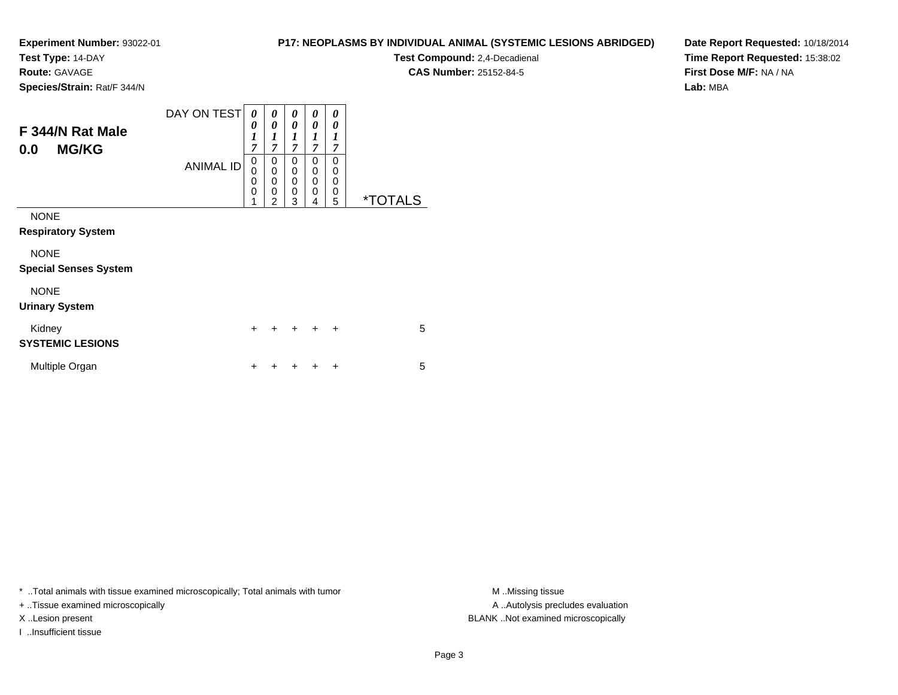**Test Type:** 14-DAY

**Route:** GAVAGE

**Species/Strain:** Rat/F 344/N

# **P17: NEOPLASMS BY INDIVIDUAL ANIMAL (SYSTEMIC LESIONS ABRIDGED)**

**Test Compound:** 2,4-Decadienal **CAS Number:** 25152-84-5

**Date Report Requested:** 10/18/2014**Time Report Requested:** 15:38:02**First Dose M/F:** NA / NA**Lab:** MBA

| F 344/N Rat Male<br><b>MG/KG</b><br>0.0     | DAY ON TEST<br><b>ANIMAL ID</b> | 0<br>0<br>$\boldsymbol{l}$<br>$\overline{7}$<br>$\mathbf 0$<br>$\mathbf 0$<br>$\mathbf 0$<br>0<br>1 | 0<br>0<br>1<br>$\overline{7}$<br>0<br>$\mathbf 0$<br>$\mathbf 0$<br>$\mathbf 0$<br>$\overline{2}$ | 0<br>0<br>$\boldsymbol{l}$<br>$\overline{7}$<br>0<br>$\mathbf 0$<br>0<br>$\mathbf 0$<br>3 | 0<br>0<br>1<br>$\overline{7}$<br>0<br>0<br>0<br>0<br>4 | 0<br>0<br>1<br>7<br>$\mathbf 0$<br>$\mathbf 0$<br>$\mathbf 0$<br>0<br>5 | <i><b>*TOTALS</b></i> |
|---------------------------------------------|---------------------------------|-----------------------------------------------------------------------------------------------------|---------------------------------------------------------------------------------------------------|-------------------------------------------------------------------------------------------|--------------------------------------------------------|-------------------------------------------------------------------------|-----------------------|
| <b>NONE</b><br><b>Respiratory System</b>    |                                 |                                                                                                     |                                                                                                   |                                                                                           |                                                        |                                                                         |                       |
| <b>NONE</b><br><b>Special Senses System</b> |                                 |                                                                                                     |                                                                                                   |                                                                                           |                                                        |                                                                         |                       |
| <b>NONE</b><br><b>Urinary System</b>        |                                 |                                                                                                     |                                                                                                   |                                                                                           |                                                        |                                                                         |                       |
| Kidney<br><b>SYSTEMIC LESIONS</b>           |                                 | $\ddot{}$                                                                                           |                                                                                                   | $\div$                                                                                    | $\ddot{}$                                              | $\ddot{}$                                                               | 5                     |
| Multiple Organ                              |                                 | ٠                                                                                                   |                                                                                                   |                                                                                           |                                                        | ÷                                                                       | 5                     |

\* ..Total animals with tissue examined microscopically; Total animals with tumor **M** . Missing tissue M ..Missing tissue

+ ..Tissue examined microscopically

I ..Insufficient tissue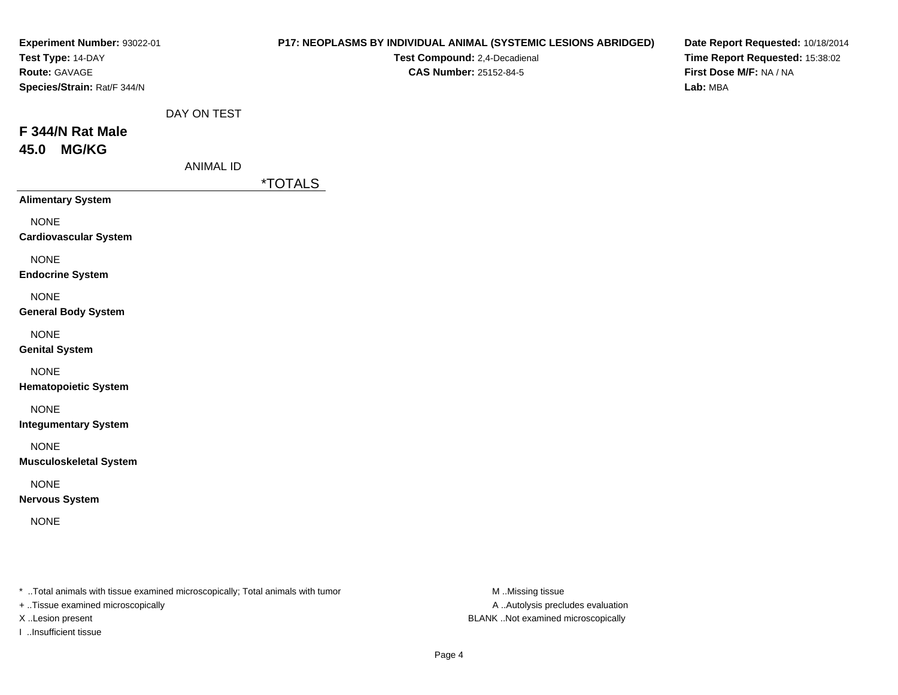| Experiment Number: 93022-01<br>Test Type: 14-DAY<br>Route: GAVAGE<br>Species/Strain: Rat/F 344/N |                                 | P17: NEOPLASMS BY INDIVIDUAL ANIMAL (SYSTEMIC LESIONS ABRIDGED)<br>Test Compound: 2,4-Decadienal<br>CAS Number: 25152-84-5 | Date Report Requested: 10/18/2014<br>Time Report Requested: 15:38:02<br>First Dose M/F: NA / NA<br>Lab: MBA |
|--------------------------------------------------------------------------------------------------|---------------------------------|----------------------------------------------------------------------------------------------------------------------------|-------------------------------------------------------------------------------------------------------------|
| F 344/N Rat Male<br><b>MG/KG</b><br>45.0                                                         | DAY ON TEST<br><b>ANIMAL ID</b> | <i><b>*TOTALS</b></i>                                                                                                      |                                                                                                             |
| <b>Alimentary System</b>                                                                         |                                 |                                                                                                                            |                                                                                                             |
| <b>NONE</b><br><b>Cardiovascular System</b>                                                      |                                 |                                                                                                                            |                                                                                                             |
| <b>NONE</b><br><b>Endocrine System</b>                                                           |                                 |                                                                                                                            |                                                                                                             |
| <b>NONE</b><br><b>General Body System</b>                                                        |                                 |                                                                                                                            |                                                                                                             |
| <b>NONE</b><br><b>Genital System</b>                                                             |                                 |                                                                                                                            |                                                                                                             |
| <b>NONE</b><br><b>Hematopoietic System</b>                                                       |                                 |                                                                                                                            |                                                                                                             |
| <b>NONE</b><br><b>Integumentary System</b>                                                       |                                 |                                                                                                                            |                                                                                                             |
| <b>NONE</b><br><b>Musculoskeletal System</b>                                                     |                                 |                                                                                                                            |                                                                                                             |
| <b>NONE</b><br><b>Nervous System</b>                                                             |                                 |                                                                                                                            |                                                                                                             |
| <b>NONE</b>                                                                                      |                                 |                                                                                                                            |                                                                                                             |

+ ..Tissue examined microscopically

I ..Insufficient tissue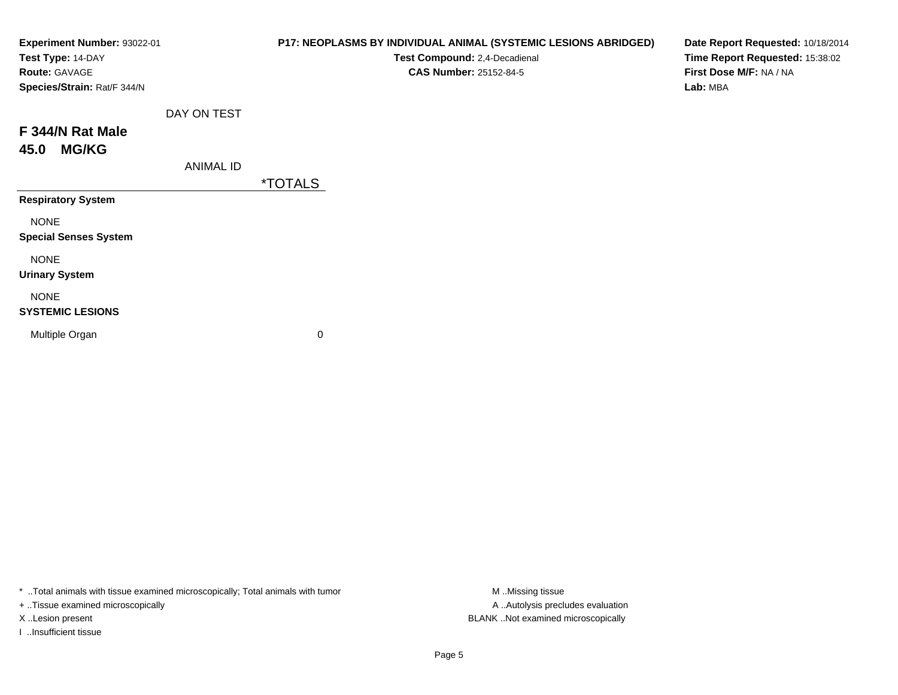| Experiment Number: 93022-01<br>Test Type: 14-DAY<br>Route: GAVAGE<br>Species/Strain: Rat/F 344/N |                  | P17: NEOPLASMS BY INDIVIDUAL ANIMAL (SYSTEMIC LESIONS ABRIDGED)<br>Test Compound: 2,4-Decadienal<br><b>CAS Number: 25152-84-5</b> | Date Report Requested: 10/18/2014<br>Time Report Requested: 15:38:02<br>First Dose M/F: NA / NA<br>Lab: MBA |
|--------------------------------------------------------------------------------------------------|------------------|-----------------------------------------------------------------------------------------------------------------------------------|-------------------------------------------------------------------------------------------------------------|
|                                                                                                  | DAY ON TEST      |                                                                                                                                   |                                                                                                             |
| F 344/N Rat Male<br><b>MG/KG</b><br>45.0                                                         |                  |                                                                                                                                   |                                                                                                             |
|                                                                                                  | <b>ANIMAL ID</b> |                                                                                                                                   |                                                                                                             |
|                                                                                                  |                  | <i><b>*TOTALS</b></i>                                                                                                             |                                                                                                             |
| <b>Respiratory System</b>                                                                        |                  |                                                                                                                                   |                                                                                                             |
| <b>NONE</b><br><b>Special Senses System</b>                                                      |                  |                                                                                                                                   |                                                                                                             |
| <b>NONE</b><br><b>Urinary System</b>                                                             |                  |                                                                                                                                   |                                                                                                             |
| <b>NONE</b><br><b>SYSTEMIC LESIONS</b>                                                           |                  |                                                                                                                                   |                                                                                                             |
| Multiple Organ                                                                                   |                  | 0                                                                                                                                 |                                                                                                             |

+ ..Tissue examined microscopically

I ..Insufficient tissue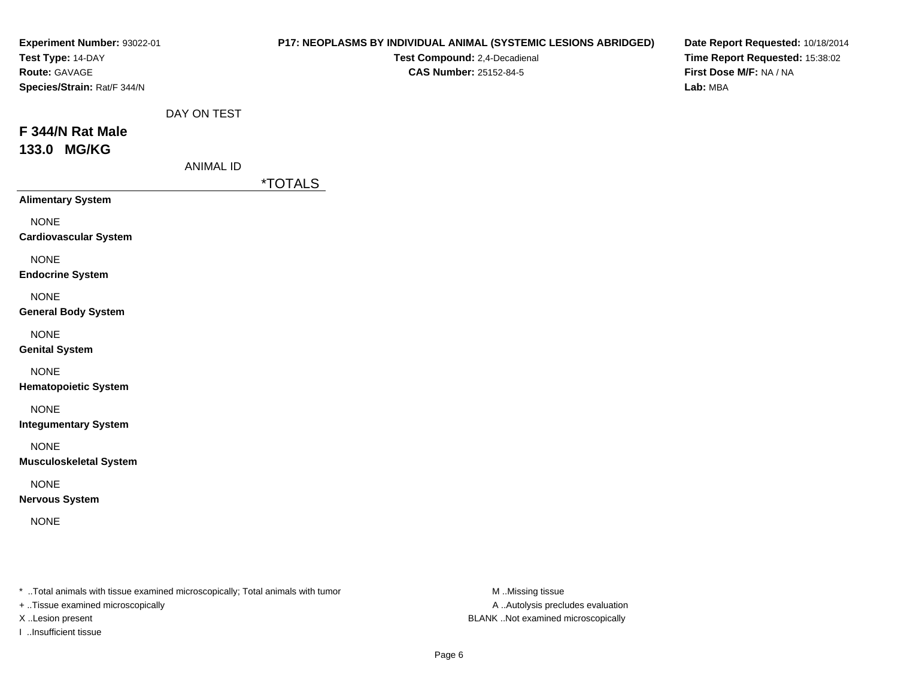|                             | P17: NEOPLASMS BY INDIVIDUAL ANIMAL (SYSTEMIC LESIONS ABRIDGED)<br>Test Compound: 2,4-Decadienal<br>CAS Number: 25152-84-5 | Date Report Requested: 10/18/2014<br>Time Report Requested: 15:38:02<br>First Dose M/F: NA / NA<br>Lab: MBA |
|-----------------------------|----------------------------------------------------------------------------------------------------------------------------|-------------------------------------------------------------------------------------------------------------|
| <b>ANIMAL ID</b>            |                                                                                                                            |                                                                                                             |
|                             |                                                                                                                            |                                                                                                             |
|                             |                                                                                                                            |                                                                                                             |
|                             |                                                                                                                            |                                                                                                             |
|                             |                                                                                                                            |                                                                                                             |
|                             |                                                                                                                            |                                                                                                             |
|                             |                                                                                                                            |                                                                                                             |
|                             |                                                                                                                            |                                                                                                             |
|                             |                                                                                                                            |                                                                                                             |
|                             |                                                                                                                            |                                                                                                             |
|                             |                                                                                                                            |                                                                                                             |
| Experiment Number: 93022-01 | DAY ON TEST                                                                                                                | <i><b>*TOTALS</b></i>                                                                                       |

+ ..Tissue examined microscopically

I ..Insufficient tissue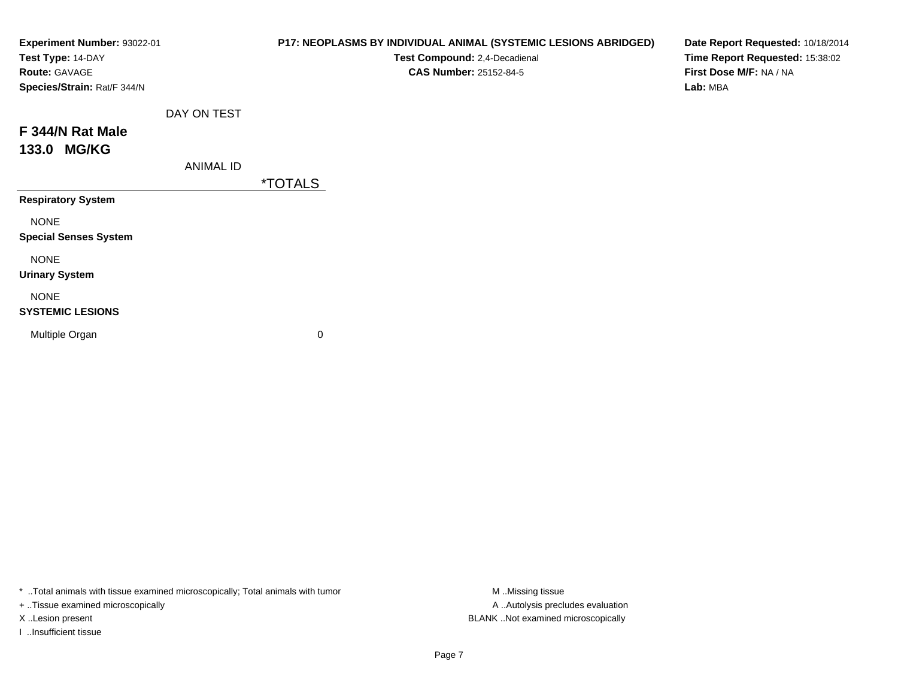| Experiment Number: 93022-01<br>Test Type: 14-DAY<br>Route: GAVAGE<br>Species/Strain: Rat/F 344/N |                  | P17: NEOPLASMS BY INDIVIDUAL ANIMAL (SYSTEMIC LESIONS ABRIDGED)<br>Test Compound: 2,4-Decadienal<br>CAS Number: 25152-84-5 | Date Report Requested: 10/18/2014<br>Time Report Requested: 15:38:02<br>First Dose M/F: NA / NA<br>Lab: MBA |
|--------------------------------------------------------------------------------------------------|------------------|----------------------------------------------------------------------------------------------------------------------------|-------------------------------------------------------------------------------------------------------------|
| F 344/N Rat Male                                                                                 | DAY ON TEST      |                                                                                                                            |                                                                                                             |
| 133.0 MG/KG                                                                                      | <b>ANIMAL ID</b> | <i><b>*TOTALS</b></i>                                                                                                      |                                                                                                             |
| <b>Respiratory System</b>                                                                        |                  |                                                                                                                            |                                                                                                             |
| <b>NONE</b><br><b>Special Senses System</b>                                                      |                  |                                                                                                                            |                                                                                                             |
| <b>NONE</b><br><b>Urinary System</b>                                                             |                  |                                                                                                                            |                                                                                                             |
| <b>NONE</b><br><b>SYSTEMIC LESIONS</b>                                                           |                  |                                                                                                                            |                                                                                                             |
| Multiple Organ                                                                                   |                  | $\mathbf 0$                                                                                                                |                                                                                                             |

+ ..Tissue examined microscopically

I ..Insufficient tissue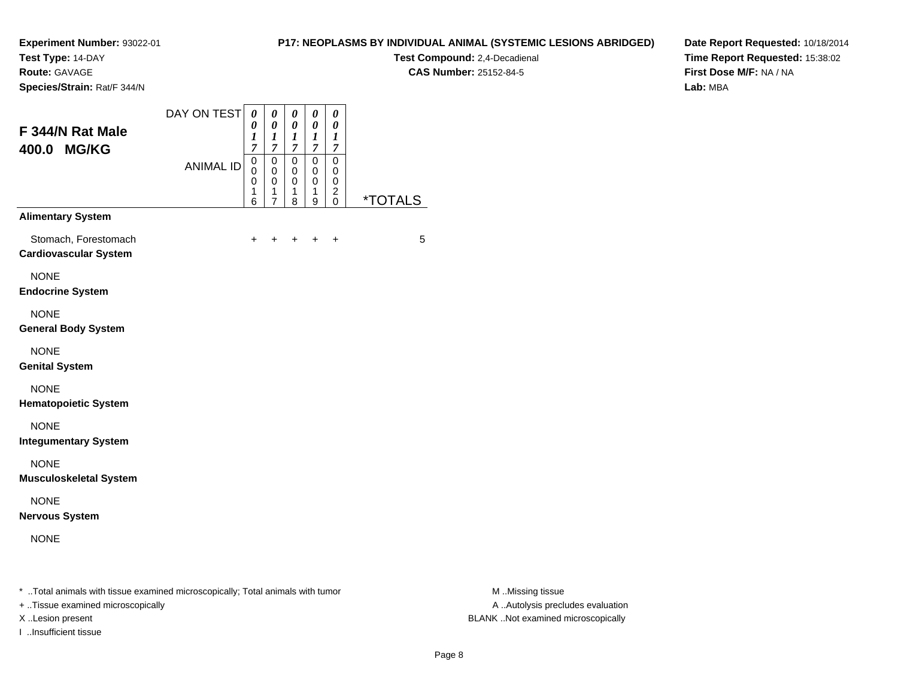**Test Type:** 14-DAY

**Route:** GAVAGE

**Species/Strain:** Rat/F 344/N

## **P17: NEOPLASMS BY INDIVIDUAL ANIMAL (SYSTEMIC LESIONS ABRIDGED)**

**Test Compound:** 2,4-Decadienal **CAS Number:** 25152-84-5

**Date Report Requested:** 10/18/2014**Time Report Requested:** 15:38:02**First Dose M/F:** NA / NA**Lab:** MBA

| F 344/N Rat Male<br>400.0 MG/KG                      | DAY ON TEST      | 0<br>0<br>$\boldsymbol{l}$<br>7                     | 0<br>0<br>$\boldsymbol{l}$<br>$\boldsymbol{7}$         | 0<br>0<br>1<br>$\boldsymbol{7}$                     | 0<br>0<br>$\bm{l}$<br>$\overline{7}$ | 0<br>$\pmb{\theta}$<br>1<br>7               |                       |
|------------------------------------------------------|------------------|-----------------------------------------------------|--------------------------------------------------------|-----------------------------------------------------|--------------------------------------|---------------------------------------------|-----------------------|
|                                                      | <b>ANIMAL ID</b> | $\mathsf 0$<br>$\mathbf 0$<br>$\mathsf 0$<br>1<br>6 | $\mathsf 0$<br>0<br>$\mathbf 0$<br>1<br>$\overline{7}$ | $\mathbf 0$<br>$\mathbf 0$<br>$\mathbf 0$<br>1<br>8 | 0<br>0<br>0<br>1<br>9                | 0<br>0<br>0<br>$\overline{\mathbf{c}}$<br>0 | <i><b>*TOTALS</b></i> |
| <b>Alimentary System</b>                             |                  |                                                     |                                                        |                                                     |                                      |                                             |                       |
| Stomach, Forestomach<br><b>Cardiovascular System</b> |                  | $\ddot{}$                                           | ٠                                                      |                                                     | $\ddot{}$                            | $\ddot{}$                                   | 5                     |
| <b>NONE</b><br><b>Endocrine System</b>               |                  |                                                     |                                                        |                                                     |                                      |                                             |                       |
| <b>NONE</b><br><b>General Body System</b>            |                  |                                                     |                                                        |                                                     |                                      |                                             |                       |
| <b>NONE</b><br><b>Genital System</b>                 |                  |                                                     |                                                        |                                                     |                                      |                                             |                       |
| <b>NONE</b><br><b>Hematopoietic System</b>           |                  |                                                     |                                                        |                                                     |                                      |                                             |                       |
| <b>NONE</b><br><b>Integumentary System</b>           |                  |                                                     |                                                        |                                                     |                                      |                                             |                       |
| <b>NONE</b><br><b>Musculoskeletal System</b>         |                  |                                                     |                                                        |                                                     |                                      |                                             |                       |
| <b>NONE</b><br><b>Nervous System</b>                 |                  |                                                     |                                                        |                                                     |                                      |                                             |                       |
| <b>NONE</b>                                          |                  |                                                     |                                                        |                                                     |                                      |                                             |                       |
|                                                      |                  |                                                     |                                                        |                                                     |                                      |                                             |                       |

\* ..Total animals with tissue examined microscopically; Total animals with tumor **M** . Missing tissue M ..Missing tissue

+ ..Tissue examined microscopically

I ..Insufficient tissue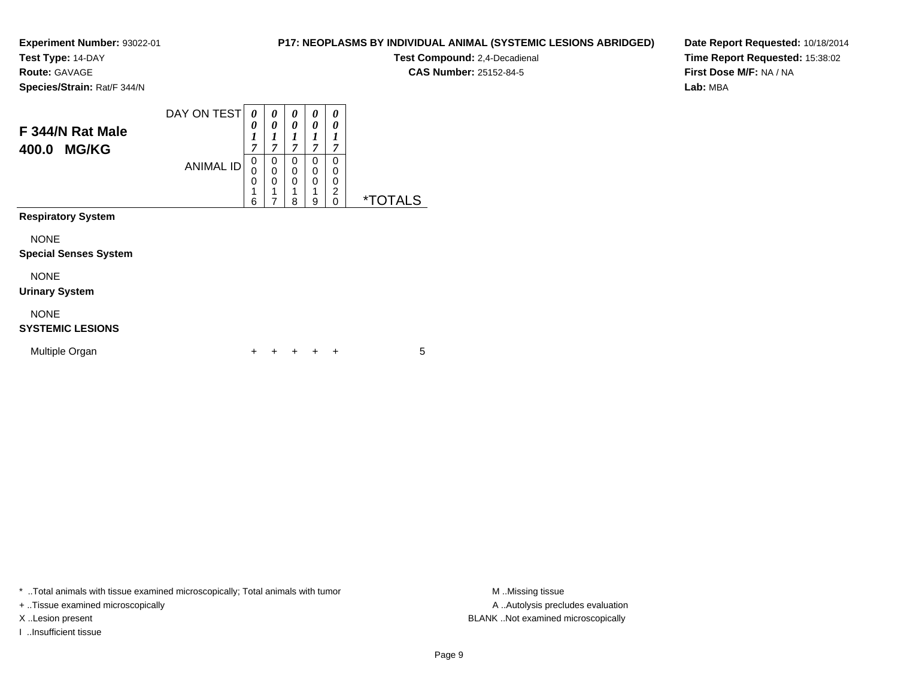**Test Type:** 14-DAY

**Route:** GAVAGE

**Species/Strain:** Rat/F 344/N

#### DAY ON TEST**F 344/N Rat Male400.0 MG/KG**ANIMAL ID*0 0 1 7*0<br>0<br>0<br>1 6*0 0 1 7*0<br>0<br>0<br>1 7*0 0 1 7* 0 0 0 1 8*0 0 1 7* 0 0 0 1 9*0 0 1 7* 00<br>0<br>0<br>0<br>0 0 \*TOTALS**Respiratory System**

NONE

#### **Special Senses System**

NONE

#### **Urinary System**

NONE

#### **SYSTEMIC LESIONS**

| Multiple Organ |  |  | + + + + + |  |  |  |  |
|----------------|--|--|-----------|--|--|--|--|
|----------------|--|--|-----------|--|--|--|--|

\* ..Total animals with tissue examined microscopically; Total animals with tumor **M** ..Missing tissue M ..Missing tissue

+ ..Tissue examined microscopically

I ..Insufficient tissue

## **P17: NEOPLASMS BY INDIVIDUAL ANIMAL (SYSTEMIC LESIONS ABRIDGED)**

**Test Compound:** 2,4-Decadienal **CAS Number:** 25152-84-5

**Date Report Requested:** 10/18/2014**Time Report Requested:** 15:38:02**First Dose M/F:** NA / NA**Lab:** MBA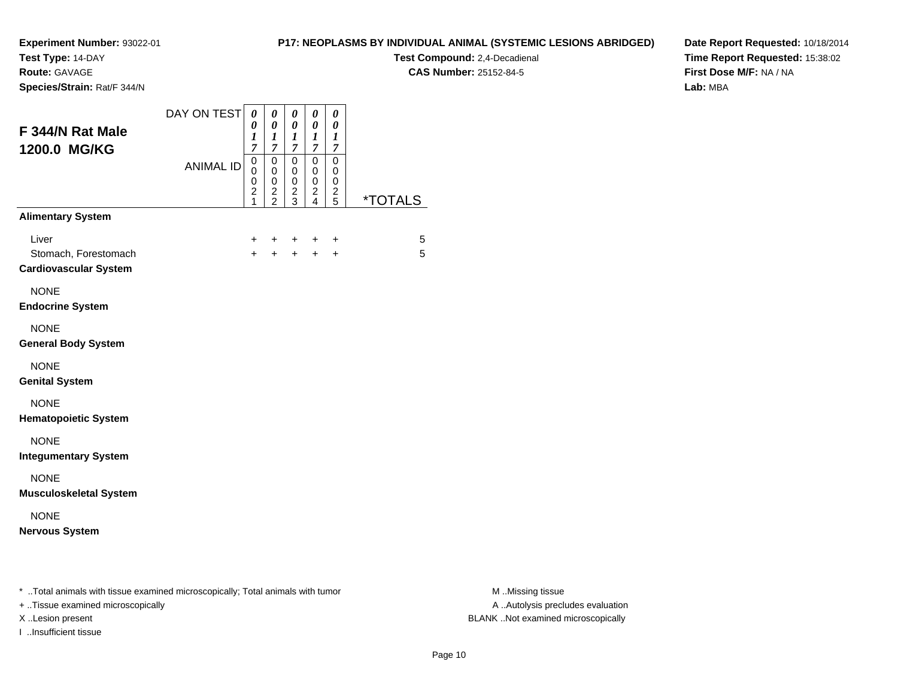**Test Type:** 14-DAY

**Route:** GAVAGE

**Species/Strain:** Rat/F 344/N

# **P17: NEOPLASMS BY INDIVIDUAL ANIMAL (SYSTEMIC LESIONS ABRIDGED)**

**Test Compound:** 2,4-Decadienal **CAS Number:** 25152-84-5

**Date Report Requested:** 10/18/2014**Time Report Requested:** 15:38:02**First Dose M/F:** NA / NA**Lab:** MBA

|                                                                                | DAY ON TEST      | $\boldsymbol{\theta}$                                                                | $\boldsymbol{\theta}$                                                            | $\boldsymbol{\theta}$                                       | $\pmb{\theta}$                                                                       | 0                            |                       |                  |
|--------------------------------------------------------------------------------|------------------|--------------------------------------------------------------------------------------|----------------------------------------------------------------------------------|-------------------------------------------------------------|--------------------------------------------------------------------------------------|------------------------------|-----------------------|------------------|
| F 344/N Rat Male                                                               |                  | 0<br>$\boldsymbol{l}$<br>$\boldsymbol{7}$                                            | $\boldsymbol{\theta}$<br>$\boldsymbol{l}$<br>$\overline{7}$                      | $\boldsymbol{\theta}$<br>$\boldsymbol{l}$<br>$\overline{7}$ | $\pmb{\theta}$<br>$\boldsymbol{l}$<br>$\boldsymbol{7}$                               | 0<br>1<br>$\overline{7}$     |                       |                  |
| 1200.0 MG/KG                                                                   | <b>ANIMAL ID</b> | $\mathsf 0$<br>$\mathbf 0$<br>$\mathbf 0$<br>$\overline{\mathbf{c}}$<br>$\mathbf{1}$ | $\overline{0}$<br>$\mathbf 0$<br>$\pmb{0}$<br>$\boldsymbol{2}$<br>$\overline{2}$ | $\mathbf 0$<br>$\mathbf 0$<br>$\pmb{0}$<br>$\frac{2}{3}$    | $\pmb{0}$<br>$\mathbf 0$<br>$\mathsf 0$<br>$\overline{c}$<br>$\overline{\mathbf{4}}$ | 0<br>0<br>0<br>$\frac{2}{5}$ | <i><b>*TOTALS</b></i> |                  |
| <b>Alimentary System</b>                                                       |                  |                                                                                      |                                                                                  |                                                             |                                                                                      |                              |                       |                  |
| Liver<br>Stomach, Forestomach<br><b>Cardiovascular System</b>                  |                  | $+$<br>$+$                                                                           | $+$                                                                              | $+$                                                         | +<br>$+ + +$                                                                         | +<br>$\ddot{}$               | 5<br>5                |                  |
| <b>NONE</b><br><b>Endocrine System</b>                                         |                  |                                                                                      |                                                                                  |                                                             |                                                                                      |                              |                       |                  |
| <b>NONE</b><br><b>General Body System</b>                                      |                  |                                                                                      |                                                                                  |                                                             |                                                                                      |                              |                       |                  |
| <b>NONE</b><br><b>Genital System</b>                                           |                  |                                                                                      |                                                                                  |                                                             |                                                                                      |                              |                       |                  |
| <b>NONE</b><br><b>Hematopoietic System</b>                                     |                  |                                                                                      |                                                                                  |                                                             |                                                                                      |                              |                       |                  |
| <b>NONE</b><br><b>Integumentary System</b>                                     |                  |                                                                                      |                                                                                  |                                                             |                                                                                      |                              |                       |                  |
| <b>NONE</b><br><b>Musculoskeletal System</b>                                   |                  |                                                                                      |                                                                                  |                                                             |                                                                                      |                              |                       |                  |
| <b>NONE</b><br><b>Nervous System</b>                                           |                  |                                                                                      |                                                                                  |                                                             |                                                                                      |                              |                       |                  |
| * Total animals with tissue examined microscopically; Total animals with tumor |                  |                                                                                      |                                                                                  |                                                             |                                                                                      |                              |                       | M Missing tissue |

+ ..Tissue examined microscopically

I ..Insufficient tissue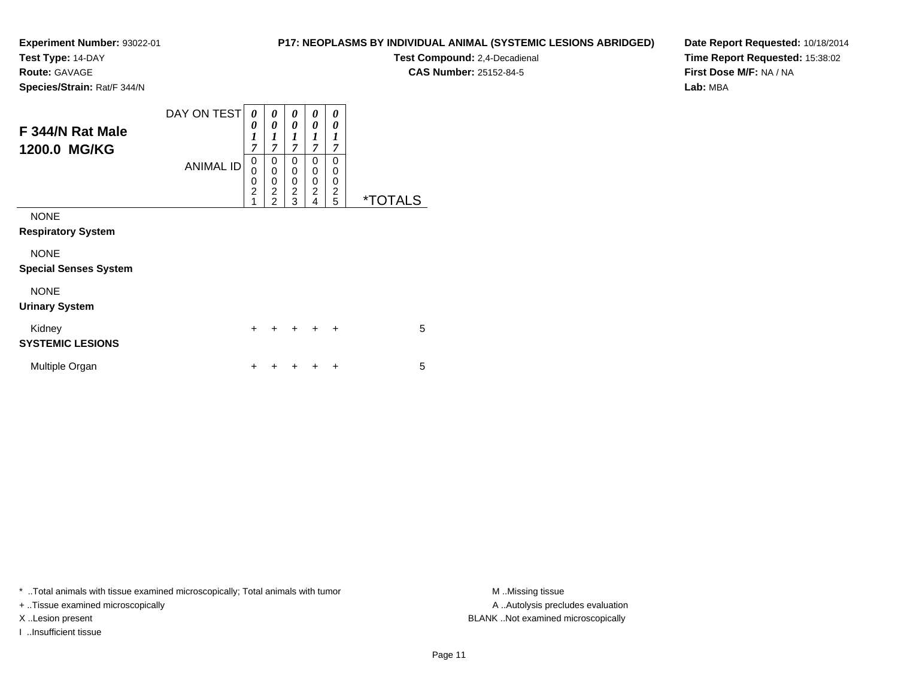**Test Type:** 14-DAY

**Route:** GAVAGE

**Species/Strain:** Rat/F 344/N

# **P17: NEOPLASMS BY INDIVIDUAL ANIMAL (SYSTEMIC LESIONS ABRIDGED)**

**Test Compound:** 2,4-Decadienal **CAS Number:** 25152-84-5

**Date Report Requested:** 10/18/2014**Time Report Requested:** 15:38:02**First Dose M/F:** NA / NA**Lab:** MBA

| F 344/N Rat Male<br>1200.0 MG/KG            | DAY ON TEST<br><b>ANIMAL ID</b> | 0<br>0<br>$\boldsymbol{l}$<br>$\overline{7}$<br>$\mathbf 0$<br>0<br>0<br>$\overline{2}$<br>1 | 0<br>0<br>$\boldsymbol{l}$<br>$\overline{7}$<br>0<br>$\mathbf 0$<br>0<br>$\overline{2}$<br>$\overline{2}$ | 0<br>0<br>1<br>$\overline{7}$<br>$\mathbf 0$<br>0<br>0<br>$\overline{c}$<br>3 | 0<br>0<br>1<br>$\overline{7}$<br>0<br>$\mathbf 0$<br>0<br>$\overline{c}$<br>4 | 0<br>0<br>$\boldsymbol{l}$<br>7<br>$\Omega$<br>0<br>0<br>$\overline{c}$<br>5 | <i><b>*TOTALS</b></i> |
|---------------------------------------------|---------------------------------|----------------------------------------------------------------------------------------------|-----------------------------------------------------------------------------------------------------------|-------------------------------------------------------------------------------|-------------------------------------------------------------------------------|------------------------------------------------------------------------------|-----------------------|
| <b>NONE</b><br><b>Respiratory System</b>    |                                 |                                                                                              |                                                                                                           |                                                                               |                                                                               |                                                                              |                       |
| <b>NONE</b><br><b>Special Senses System</b> |                                 |                                                                                              |                                                                                                           |                                                                               |                                                                               |                                                                              |                       |
| <b>NONE</b><br><b>Urinary System</b>        |                                 |                                                                                              |                                                                                                           |                                                                               |                                                                               |                                                                              |                       |
| Kidney<br><b>SYSTEMIC LESIONS</b>           |                                 | $\ddot{}$                                                                                    |                                                                                                           | $\div$                                                                        | $\ddot{}$                                                                     | $\ddot{}$                                                                    | 5                     |
| Multiple Organ                              |                                 | +                                                                                            |                                                                                                           |                                                                               |                                                                               | +                                                                            | 5                     |

\* ..Total animals with tissue examined microscopically; Total animals with tumor **M** . Missing tissue M ..Missing tissue

+ ..Tissue examined microscopically

I ..Insufficient tissue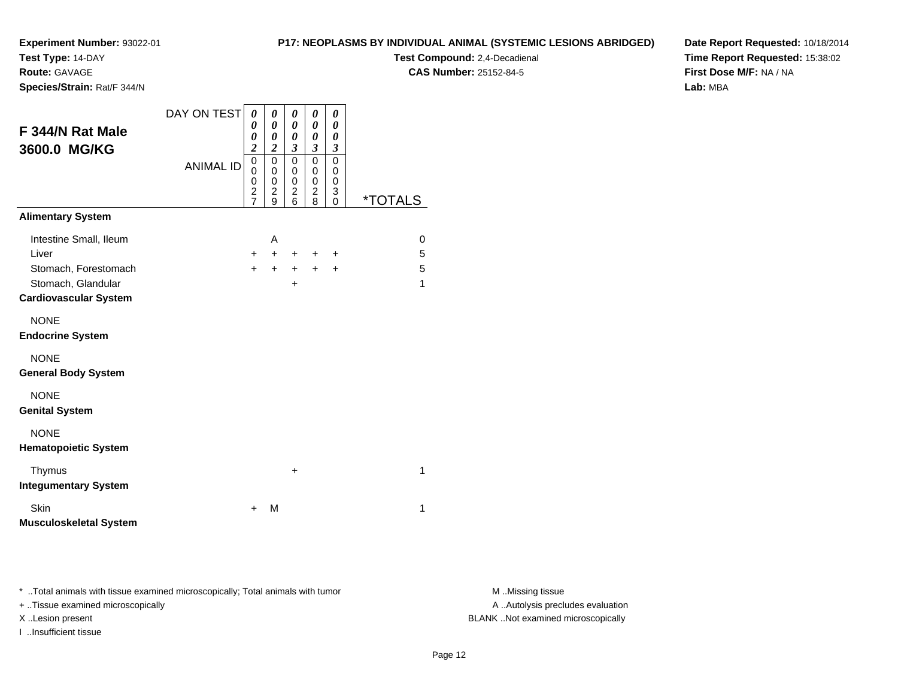**Test Type:** 14-DAY

**Route:** GAVAGE

**Species/Strain:** Rat/F 344/N

### **P17: NEOPLASMS BY INDIVIDUAL ANIMAL (SYSTEMIC LESIONS ABRIDGED)**

**Test Compound:** 2,4-Decadienal **CAS Number:** 25152-84-5

**Date Report Requested:** 10/18/2014**Time Report Requested:** 15:38:02**First Dose M/F:** NA / NA**Lab:** MBA

| F 344/N Rat Male<br>3600.0 MG/KG           | DAY ON TEST<br><b>ANIMAL ID</b> | 0<br>0<br>0<br>$\overline{\mathbf{c}}$<br>0<br>0<br>0<br>$\overline{c}$<br>$\overline{7}$ | 0<br>0<br>$\boldsymbol{\theta}$<br>$\overline{\mathbf{c}}$<br>0<br>0<br>0<br>$\overline{\mathbf{c}}$<br>9 | 0<br>0<br>0<br>3<br>$\mathbf 0$<br>0<br>0<br>$\overline{c}$<br>6 | 0<br>0<br>$\boldsymbol{\theta}$<br>$\boldsymbol{\mathfrak{z}}$<br>$\mathbf 0$<br>$\mathbf 0$<br>$\mathbf 0$<br>$\overline{c}$<br>8 | 0<br>0<br>0<br>$\boldsymbol{\beta}$<br>$\mathbf 0$<br>0<br>$\mathbf 0$<br>3<br>$\Omega$ | *TOTALS |
|--------------------------------------------|---------------------------------|-------------------------------------------------------------------------------------------|-----------------------------------------------------------------------------------------------------------|------------------------------------------------------------------|------------------------------------------------------------------------------------------------------------------------------------|-----------------------------------------------------------------------------------------|---------|
| <b>Alimentary System</b>                   |                                 |                                                                                           |                                                                                                           |                                                                  |                                                                                                                                    |                                                                                         |         |
| Intestine Small, Ileum                     |                                 |                                                                                           | A                                                                                                         |                                                                  |                                                                                                                                    |                                                                                         | 0       |
| Liver                                      |                                 | $+$                                                                                       | $+$                                                                                                       | $+$                                                              | $\pm$                                                                                                                              | $\ddot{}$                                                                               | 5       |
| Stomach, Forestomach                       |                                 | $+$                                                                                       | $+$                                                                                                       | $+$ $-$                                                          | $+$                                                                                                                                | $+$                                                                                     | 5       |
| Stomach, Glandular                         |                                 |                                                                                           |                                                                                                           | $\ddot{}$                                                        |                                                                                                                                    |                                                                                         | 1       |
| <b>Cardiovascular System</b>               |                                 |                                                                                           |                                                                                                           |                                                                  |                                                                                                                                    |                                                                                         |         |
| <b>NONE</b><br><b>Endocrine System</b>     |                                 |                                                                                           |                                                                                                           |                                                                  |                                                                                                                                    |                                                                                         |         |
| <b>NONE</b><br><b>General Body System</b>  |                                 |                                                                                           |                                                                                                           |                                                                  |                                                                                                                                    |                                                                                         |         |
| <b>NONE</b><br><b>Genital System</b>       |                                 |                                                                                           |                                                                                                           |                                                                  |                                                                                                                                    |                                                                                         |         |
| <b>NONE</b><br><b>Hematopoietic System</b> |                                 |                                                                                           |                                                                                                           |                                                                  |                                                                                                                                    |                                                                                         |         |
| Thymus<br><b>Integumentary System</b>      |                                 |                                                                                           |                                                                                                           | +                                                                |                                                                                                                                    |                                                                                         | 1       |
| Skin<br><b>Musculoskeletal System</b>      |                                 | ÷                                                                                         | M                                                                                                         |                                                                  |                                                                                                                                    |                                                                                         | 1       |

\* ..Total animals with tissue examined microscopically; Total animals with tumor **M** . Missing tissue M ..Missing tissue

+ ..Tissue examined microscopically

I ..Insufficient tissue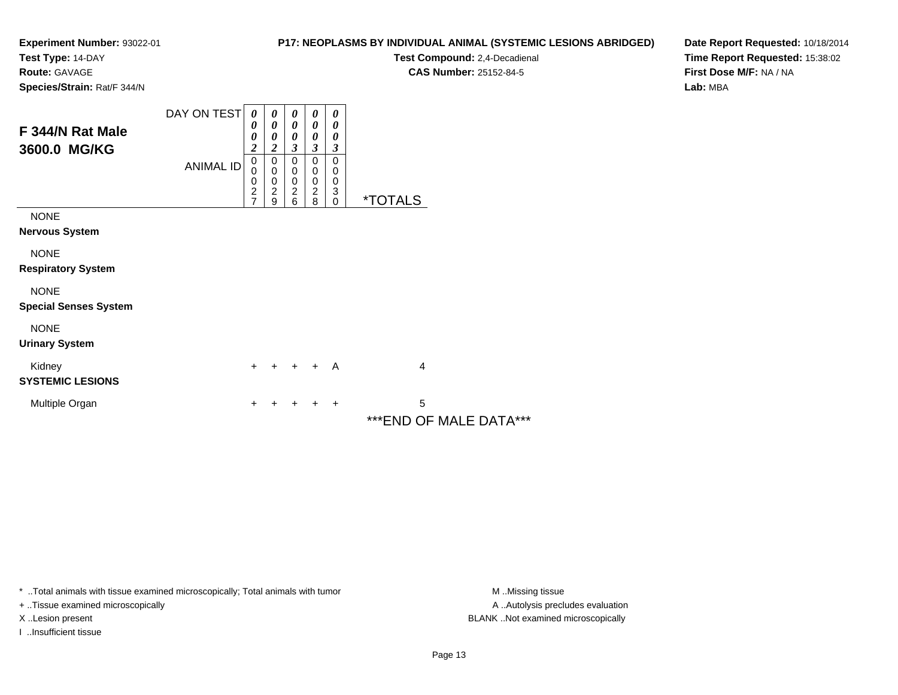**Test Type:** 14-DAY

**Route:** GAVAGE

**Species/Strain:** Rat/F 344/N

# **P17: NEOPLASMS BY INDIVIDUAL ANIMAL (SYSTEMIC LESIONS ABRIDGED)**

**Test Compound:** 2,4-Decadienal **CAS Number:** 25152-84-5

**Date Report Requested:** 10/18/2014**Time Report Requested:** 15:38:02**First Dose M/F:** NA / NA**Lab:** MBA

| F 344/N Rat Male<br>3600.0 MG/KG            | DAY ON TEST      | $\boldsymbol{\theta}$<br>0<br>0<br>$\overline{\mathbf{c}}$ | 0<br>0<br>0<br>2                                       | $\boldsymbol{\theta}$<br>$\boldsymbol{\theta}$<br>0<br>3 | $\boldsymbol{\theta}$<br>$\boldsymbol{\theta}$<br>0<br>3 | 0<br>$\theta$<br>0<br>3      |                             |
|---------------------------------------------|------------------|------------------------------------------------------------|--------------------------------------------------------|----------------------------------------------------------|----------------------------------------------------------|------------------------------|-----------------------------|
|                                             | <b>ANIMAL ID</b> | 0<br>0<br>0<br>$\frac{2}{7}$                               | 0<br>$\mathbf 0$<br>$\pmb{0}$<br>$\boldsymbol{2}$<br>9 | 0<br>0<br>$\mathbf 0$<br>$\boldsymbol{2}$<br>6           | 0<br>$\,0\,$<br>$\pmb{0}$<br>$\boldsymbol{2}$<br>8       | 0<br>0<br>0<br>3<br>$\Omega$ | <i><b>*TOTALS</b></i>       |
| <b>NONE</b><br><b>Nervous System</b>        |                  |                                                            |                                                        |                                                          |                                                          |                              |                             |
| <b>NONE</b><br><b>Respiratory System</b>    |                  |                                                            |                                                        |                                                          |                                                          |                              |                             |
| <b>NONE</b><br><b>Special Senses System</b> |                  |                                                            |                                                        |                                                          |                                                          |                              |                             |
| <b>NONE</b><br><b>Urinary System</b>        |                  |                                                            |                                                        |                                                          |                                                          |                              |                             |
| Kidney<br><b>SYSTEMIC LESIONS</b>           |                  | $+$                                                        | ÷                                                      | $+$                                                      | $+$                                                      | A                            | 4                           |
| Multiple Organ                              |                  | +                                                          |                                                        |                                                          |                                                          | $\ddot{}$                    | 5<br>***END OF MALE DATA*** |

\* ..Total animals with tissue examined microscopically; Total animals with tumor **M** . Missing tissue M ..Missing tissue

+ ..Tissue examined microscopically

I ..Insufficient tissue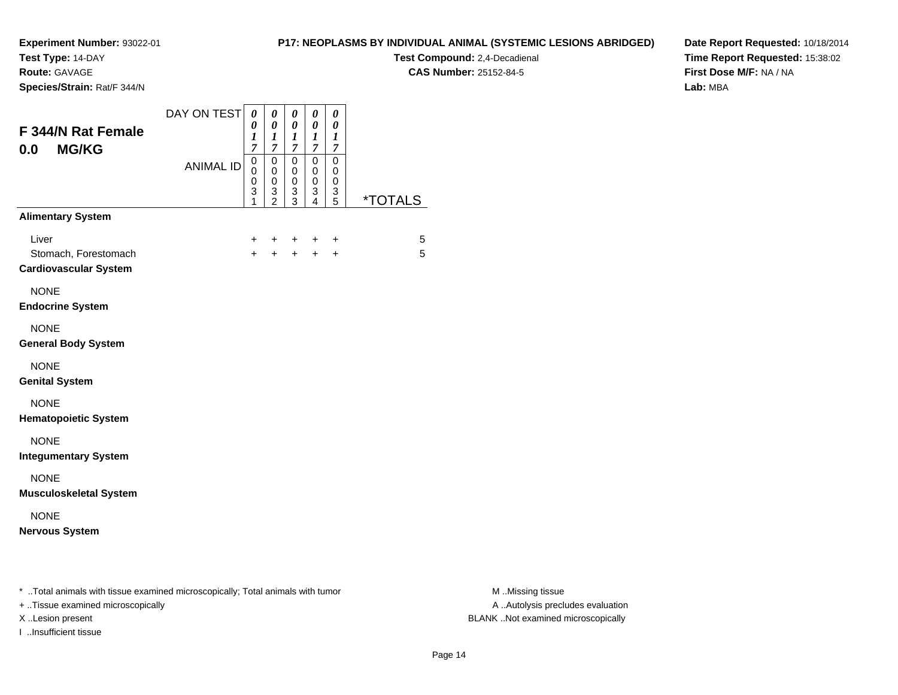**Test Type:** 14-DAY

**Route:** GAVAGE

**Species/Strain:** Rat/F 344/N

## **P17: NEOPLASMS BY INDIVIDUAL ANIMAL (SYSTEMIC LESIONS ABRIDGED)**

**Test Compound:** 2,4-Decadienal **CAS Number:** 25152-84-5

**Date Report Requested:** 10/18/2014**Time Report Requested:** 15:38:02**First Dose M/F:** NA / NA**Lab:** MBA

| F 344/N Rat Female<br><b>MG/KG</b><br>0.0                                      | DAY ON TEST      | $\pmb{\theta}$<br>0<br>$\boldsymbol{l}$<br>$\overline{7}$ | $\boldsymbol{\theta}$<br>$\boldsymbol{\theta}$<br>$\boldsymbol{l}$<br>$\overline{7}$ | $\boldsymbol{\theta}$<br>$\boldsymbol{\theta}$<br>$\boldsymbol{l}$<br>$\boldsymbol{7}$ | $\pmb{\theta}$<br>$\boldsymbol{\theta}$<br>$\boldsymbol{l}$<br>$\overline{7}$  | 0<br>0<br>$\boldsymbol{l}$<br>$\boldsymbol{7}$ |                       |                  |
|--------------------------------------------------------------------------------|------------------|-----------------------------------------------------------|--------------------------------------------------------------------------------------|----------------------------------------------------------------------------------------|--------------------------------------------------------------------------------|------------------------------------------------|-----------------------|------------------|
|                                                                                | <b>ANIMAL ID</b> | $\mathsf 0$<br>$\mathbf 0$<br>$\mathbf 0$<br>3<br>1       | $\pmb{0}$<br>$\mathbf 0$<br>$\pmb{0}$<br>3<br>$\overline{2}$                         | $\pmb{0}$<br>$\pmb{0}$<br>$\pmb{0}$<br>$\ensuremath{\mathsf{3}}$<br>$\overline{3}$     | $\mathbf 0$<br>0<br>$\mathbf 0$<br>$\ensuremath{\mathsf{3}}$<br>$\overline{4}$ | 0<br>0<br>0<br>$\frac{3}{5}$                   | <i><b>*TOTALS</b></i> |                  |
| <b>Alimentary System</b>                                                       |                  |                                                           |                                                                                      |                                                                                        |                                                                                |                                                |                       |                  |
| Liver<br>Stomach, Forestomach<br><b>Cardiovascular System</b>                  |                  | $\ddot{}$<br>$+$                                          | $\pm$<br>$+$                                                                         | $\ddot{}$                                                                              | +<br>$+ +$                                                                     | $\ddot{}$<br>$\ddot{}$                         | 5<br>5                |                  |
| <b>NONE</b><br><b>Endocrine System</b>                                         |                  |                                                           |                                                                                      |                                                                                        |                                                                                |                                                |                       |                  |
| <b>NONE</b><br><b>General Body System</b>                                      |                  |                                                           |                                                                                      |                                                                                        |                                                                                |                                                |                       |                  |
| <b>NONE</b><br><b>Genital System</b>                                           |                  |                                                           |                                                                                      |                                                                                        |                                                                                |                                                |                       |                  |
| <b>NONE</b><br><b>Hematopoietic System</b>                                     |                  |                                                           |                                                                                      |                                                                                        |                                                                                |                                                |                       |                  |
| <b>NONE</b><br><b>Integumentary System</b>                                     |                  |                                                           |                                                                                      |                                                                                        |                                                                                |                                                |                       |                  |
| <b>NONE</b><br><b>Musculoskeletal System</b>                                   |                  |                                                           |                                                                                      |                                                                                        |                                                                                |                                                |                       |                  |
| <b>NONE</b><br><b>Nervous System</b>                                           |                  |                                                           |                                                                                      |                                                                                        |                                                                                |                                                |                       |                  |
| * Total animals with tissue examined microscopically; Total animals with tumor |                  |                                                           |                                                                                      |                                                                                        |                                                                                |                                                |                       | M Missing tissue |

+ ..Tissue examined microscopically

I ..Insufficient tissue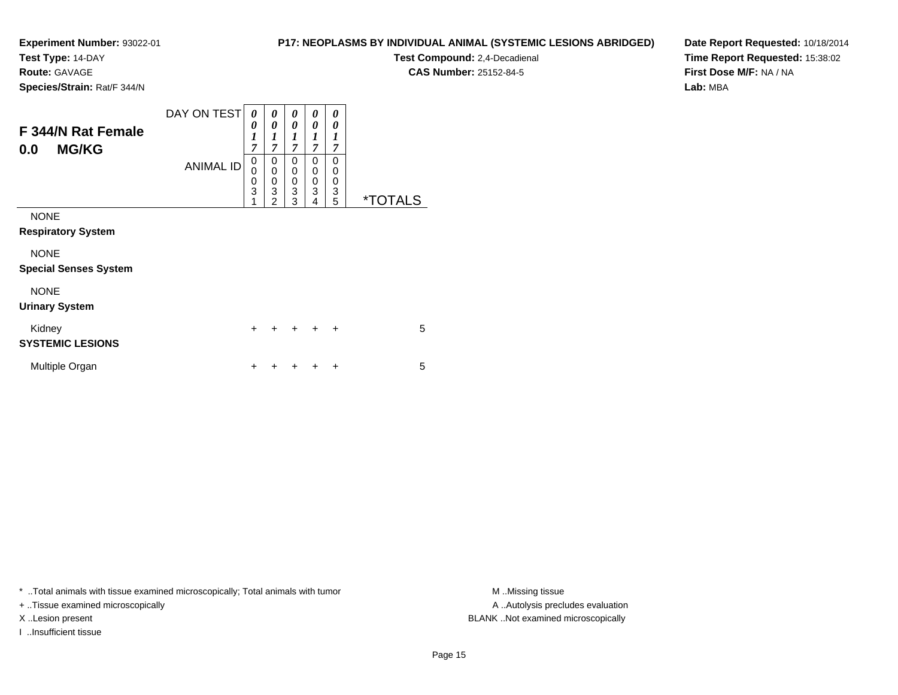**Test Type:** 14-DAY

**Route:** GAVAGE

**Species/Strain:** Rat/F 344/N

# **P17: NEOPLASMS BY INDIVIDUAL ANIMAL (SYSTEMIC LESIONS ABRIDGED)**

**Test Compound:** 2,4-Decadienal **CAS Number:** 25152-84-5

**Date Report Requested:** 10/18/2014**Time Report Requested:** 15:38:02**First Dose M/F:** NA / NA**Lab:** MBA

| <b>F344/N Rat Female</b><br><b>MG/KG</b><br>0.0 | DAY ON TESTI<br><b>ANIMAL ID</b> | 0<br>0<br>$\boldsymbol{l}$<br>7<br>0<br>0<br>0<br>$\overline{3}$<br>1 | 0<br>0<br>1<br>$\overline{7}$<br>0<br>0<br>0<br>$\overline{3}$<br>$\overline{c}$ | 0<br>0<br>1<br>$\overline{7}$<br>0<br>0<br>$\frac{0}{3}$<br>3 | 0<br>0<br>1<br>$\overline{7}$<br>0<br>0<br>0<br>3<br>4 | 0<br>0<br>1<br>7<br>0<br>0<br>0<br>3<br>5 | <i><b>*TOTALS</b></i> |
|-------------------------------------------------|----------------------------------|-----------------------------------------------------------------------|----------------------------------------------------------------------------------|---------------------------------------------------------------|--------------------------------------------------------|-------------------------------------------|-----------------------|
| <b>NONE</b><br><b>Respiratory System</b>        |                                  |                                                                       |                                                                                  |                                                               |                                                        |                                           |                       |
| <b>NONE</b><br><b>Special Senses System</b>     |                                  |                                                                       |                                                                                  |                                                               |                                                        |                                           |                       |
| <b>NONE</b><br><b>Urinary System</b>            |                                  |                                                                       |                                                                                  |                                                               |                                                        |                                           |                       |
| Kidney<br><b>SYSTEMIC LESIONS</b>               |                                  | $\ddot{}$                                                             |                                                                                  | $\div$                                                        | $\div$                                                 | $\ddot{}$                                 | 5                     |
| Multiple Organ                                  |                                  | +                                                                     |                                                                                  |                                                               |                                                        | ÷                                         | 5                     |

\* ..Total animals with tissue examined microscopically; Total animals with tumor **M** . Missing tissue M ..Missing tissue

+ ..Tissue examined microscopically

I ..Insufficient tissue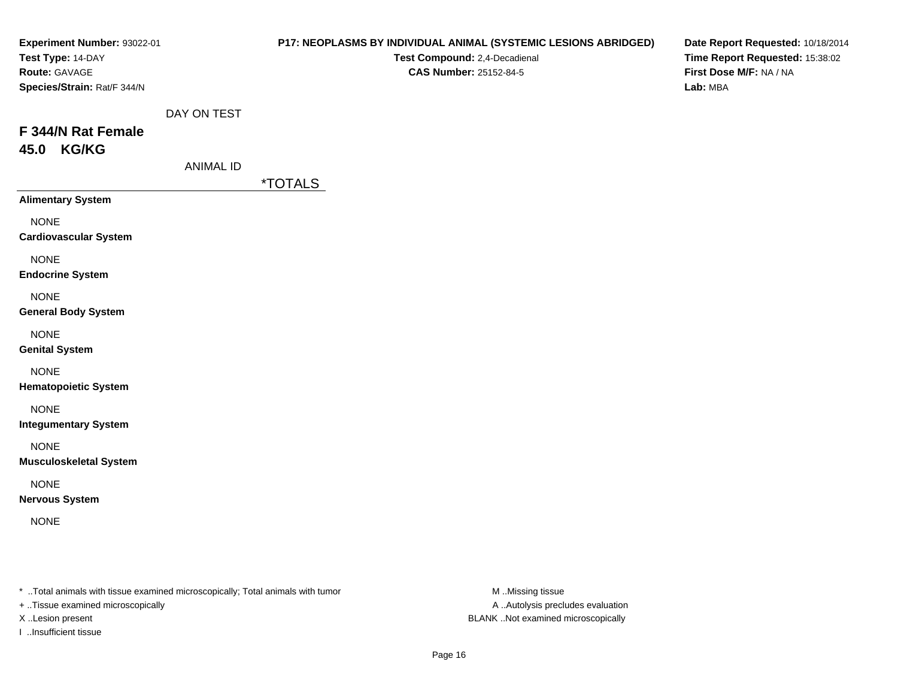| Experiment Number: 93022-01<br>Test Type: 14-DAY<br>Route: GAVAGE<br>Species/Strain: Rat/F 344/N |                                 | P17: NEOPLASMS BY INDIVIDUAL ANIMAL (SYSTEMIC LESIONS ABRIDGED)<br>Test Compound: 2,4-Decadienal<br><b>CAS Number: 25152-84-5</b> | Date Report Requested: 10/18/2014<br>Time Report Requested: 15:38:02<br>First Dose M/F: NA / NA<br>Lab: MBA |
|--------------------------------------------------------------------------------------------------|---------------------------------|-----------------------------------------------------------------------------------------------------------------------------------|-------------------------------------------------------------------------------------------------------------|
| F 344/N Rat Female<br>45.0 KG/KG                                                                 | DAY ON TEST<br><b>ANIMAL ID</b> | <i><b>*TOTALS</b></i>                                                                                                             |                                                                                                             |
| <b>Alimentary System</b>                                                                         |                                 |                                                                                                                                   |                                                                                                             |
| <b>NONE</b><br><b>Cardiovascular System</b>                                                      |                                 |                                                                                                                                   |                                                                                                             |
| <b>NONE</b><br><b>Endocrine System</b>                                                           |                                 |                                                                                                                                   |                                                                                                             |
| <b>NONE</b><br><b>General Body System</b>                                                        |                                 |                                                                                                                                   |                                                                                                             |
| <b>NONE</b><br><b>Genital System</b>                                                             |                                 |                                                                                                                                   |                                                                                                             |
| <b>NONE</b><br><b>Hematopoietic System</b>                                                       |                                 |                                                                                                                                   |                                                                                                             |
| <b>NONE</b><br><b>Integumentary System</b>                                                       |                                 |                                                                                                                                   |                                                                                                             |
| <b>NONE</b><br><b>Musculoskeletal System</b>                                                     |                                 |                                                                                                                                   |                                                                                                             |
| <b>NONE</b><br><b>Nervous System</b>                                                             |                                 |                                                                                                                                   |                                                                                                             |
| <b>NONE</b>                                                                                      |                                 |                                                                                                                                   |                                                                                                             |
|                                                                                                  |                                 |                                                                                                                                   |                                                                                                             |
|                                                                                                  |                                 |                                                                                                                                   |                                                                                                             |

+ ..Tissue examined microscopically

I ..Insufficient tissue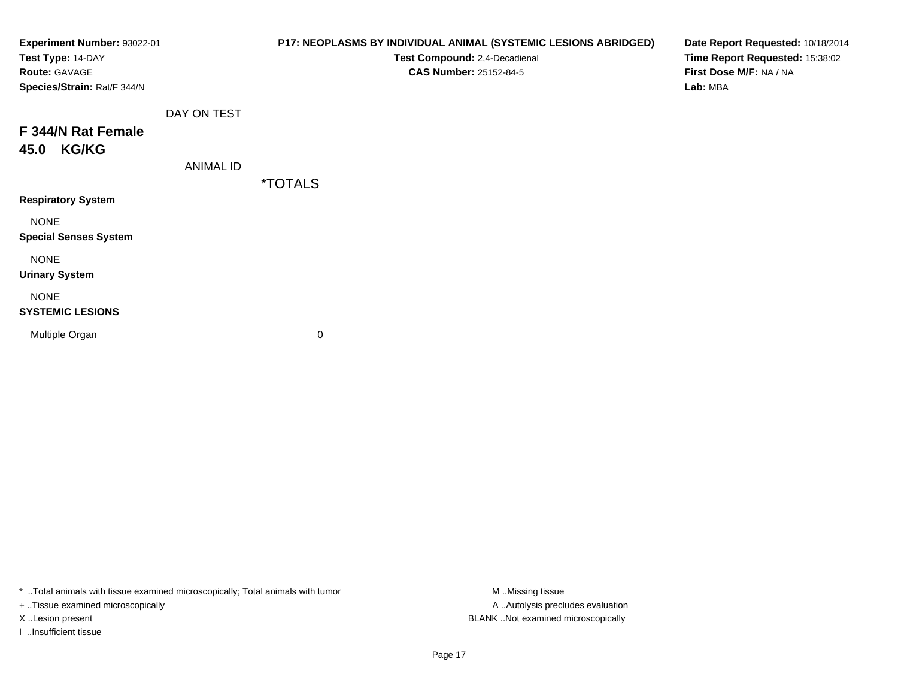| Experiment Number: 93022-01<br>Test Type: 14-DAY<br>Route: GAVAGE<br>Species/Strain: Rat/F 344/N |                  | P17: NEOPLASMS BY INDIVIDUAL ANIMAL (SYSTEMIC LESIONS ABRIDGED)<br>Test Compound: 2,4-Decadienal<br><b>CAS Number: 25152-84-5</b> | Date Report Requested: 10/18/2014<br>Time Report Requested: 15:38:02<br>First Dose M/F: NA / NA<br>Lab: MBA |
|--------------------------------------------------------------------------------------------------|------------------|-----------------------------------------------------------------------------------------------------------------------------------|-------------------------------------------------------------------------------------------------------------|
| F 344/N Rat Female<br><b>KG/KG</b><br>45.0                                                       | DAY ON TEST      |                                                                                                                                   |                                                                                                             |
| <b>Respiratory System</b>                                                                        | <b>ANIMAL ID</b> | <i><b>*TOTALS</b></i>                                                                                                             |                                                                                                             |
| <b>NONE</b><br><b>Special Senses System</b>                                                      |                  |                                                                                                                                   |                                                                                                             |
| <b>NONE</b><br><b>Urinary System</b>                                                             |                  |                                                                                                                                   |                                                                                                             |
| <b>NONE</b><br><b>SYSTEMIC LESIONS</b>                                                           |                  |                                                                                                                                   |                                                                                                             |
| Multiple Organ                                                                                   |                  | 0                                                                                                                                 |                                                                                                             |

+ ..Tissue examined microscopically

I ..Insufficient tissue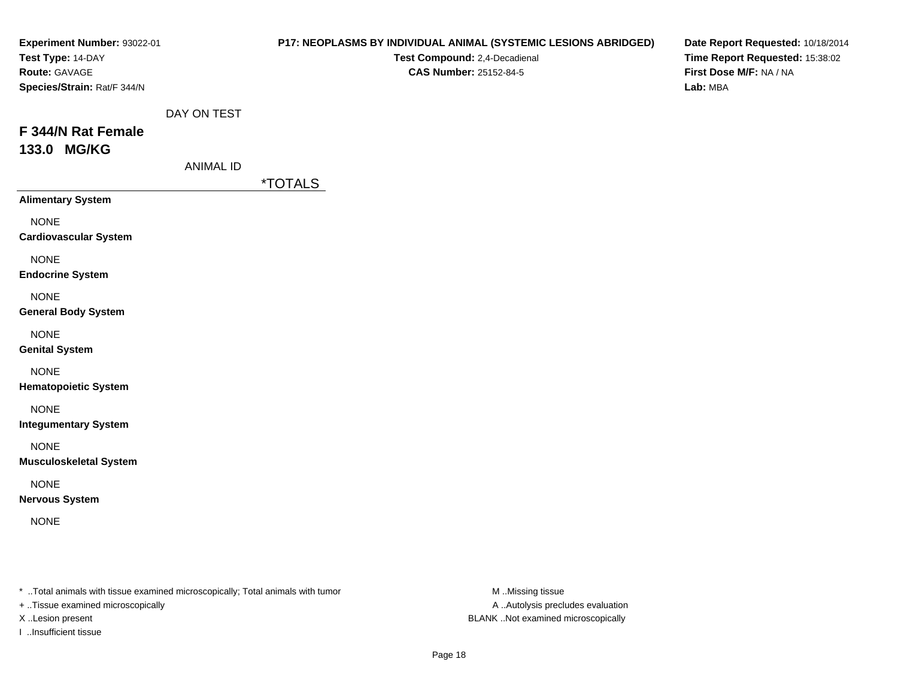| Experiment Number: 93022-01<br>Test Type: 14-DAY<br>Route: GAVAGE<br>Species/Strain: Rat/F 344/N |                                 | P17: NEOPLASMS BY INDIVIDUAL ANIMAL (SYSTEMIC LESIONS ABRIDGED)<br>Test Compound: 2,4-Decadienal<br>CAS Number: 25152-84-5 | Date Report Requested: 10/18/2014<br>Time Report Requested: 15:38:02<br>First Dose M/F: NA / NA<br>Lab: MBA |
|--------------------------------------------------------------------------------------------------|---------------------------------|----------------------------------------------------------------------------------------------------------------------------|-------------------------------------------------------------------------------------------------------------|
| F 344/N Rat Female<br>133.0 MG/KG                                                                | DAY ON TEST<br><b>ANIMAL ID</b> | <i><b>*TOTALS</b></i>                                                                                                      |                                                                                                             |
| <b>Alimentary System</b>                                                                         |                                 |                                                                                                                            |                                                                                                             |
| <b>NONE</b><br><b>Cardiovascular System</b>                                                      |                                 |                                                                                                                            |                                                                                                             |
| <b>NONE</b><br><b>Endocrine System</b>                                                           |                                 |                                                                                                                            |                                                                                                             |
| <b>NONE</b><br><b>General Body System</b>                                                        |                                 |                                                                                                                            |                                                                                                             |
| <b>NONE</b><br><b>Genital System</b>                                                             |                                 |                                                                                                                            |                                                                                                             |
| <b>NONE</b><br><b>Hematopoietic System</b>                                                       |                                 |                                                                                                                            |                                                                                                             |
| <b>NONE</b><br><b>Integumentary System</b>                                                       |                                 |                                                                                                                            |                                                                                                             |
| <b>NONE</b><br><b>Musculoskeletal System</b>                                                     |                                 |                                                                                                                            |                                                                                                             |
| <b>NONE</b><br><b>Nervous System</b>                                                             |                                 |                                                                                                                            |                                                                                                             |
| <b>NONE</b>                                                                                      |                                 |                                                                                                                            |                                                                                                             |
|                                                                                                  |                                 |                                                                                                                            |                                                                                                             |
|                                                                                                  |                                 |                                                                                                                            |                                                                                                             |

+ ..Tissue examined microscopically

I ..Insufficient tissue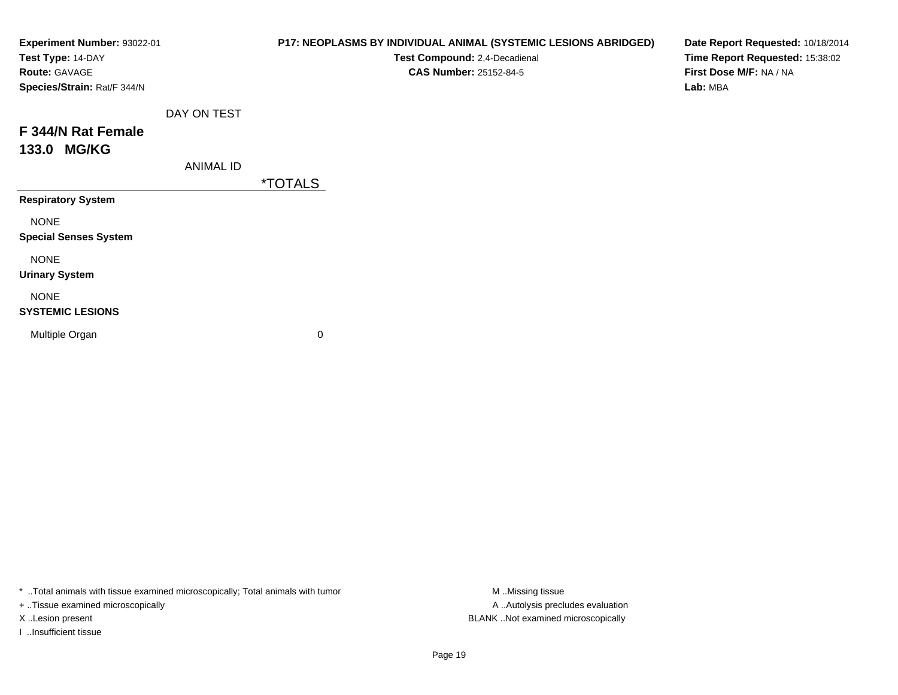| Experiment Number: 93022-01<br>Test Type: 14-DAY<br>Route: GAVAGE<br>Species/Strain: Rat/F 344/N |                  | P17: NEOPLASMS BY INDIVIDUAL ANIMAL (SYSTEMIC LESIONS ABRIDGED)<br>Test Compound: 2,4-Decadienal<br><b>CAS Number: 25152-84-5</b> | Date Report Requested: 10/18/2014<br>Time Report Requested: 15:38:02<br>First Dose M/F: NA / NA<br>Lab: MBA |
|--------------------------------------------------------------------------------------------------|------------------|-----------------------------------------------------------------------------------------------------------------------------------|-------------------------------------------------------------------------------------------------------------|
| F 344/N Rat Female<br>133.0 MG/KG                                                                | DAY ON TEST      |                                                                                                                                   |                                                                                                             |
|                                                                                                  | <b>ANIMAL ID</b> | <i><b>*TOTALS</b></i>                                                                                                             |                                                                                                             |
| <b>Respiratory System</b>                                                                        |                  |                                                                                                                                   |                                                                                                             |
| <b>NONE</b><br><b>Special Senses System</b>                                                      |                  |                                                                                                                                   |                                                                                                             |
| <b>NONE</b><br><b>Urinary System</b>                                                             |                  |                                                                                                                                   |                                                                                                             |
| <b>NONE</b><br><b>SYSTEMIC LESIONS</b>                                                           |                  |                                                                                                                                   |                                                                                                             |
| Multiple Organ                                                                                   |                  | 0                                                                                                                                 |                                                                                                             |

+ ..Tissue examined microscopically

I ..Insufficient tissue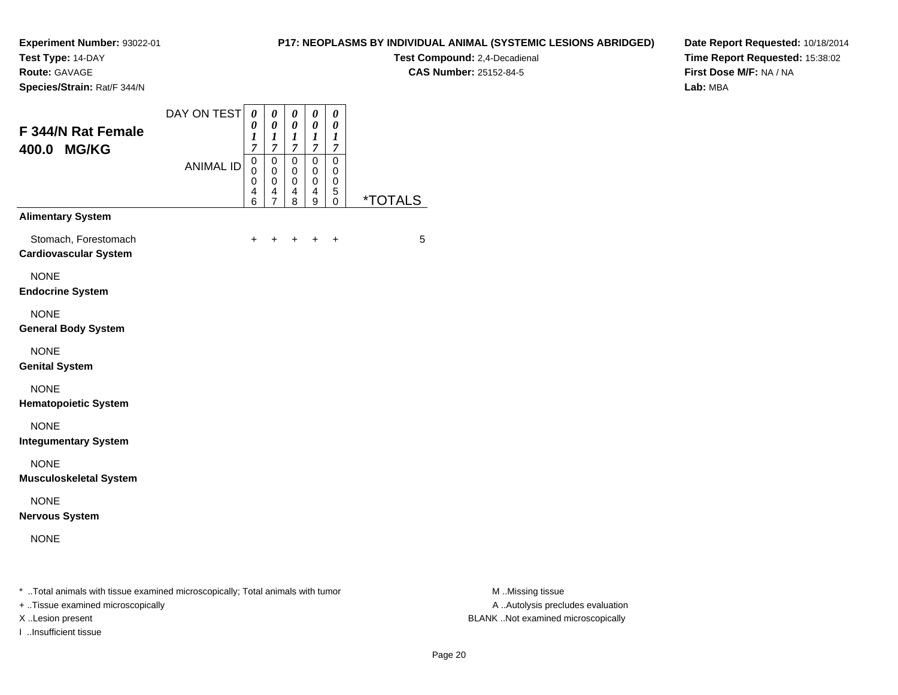**Test Type:** 14-DAY

**Route:** GAVAGE

**Species/Strain:** Rat/F 344/N

## **P17: NEOPLASMS BY INDIVIDUAL ANIMAL (SYSTEMIC LESIONS ABRIDGED)**

**Test Compound:** 2,4-Decadienal **CAS Number:** 25152-84-5

**Date Report Requested:** 10/18/2014**Time Report Requested:** 15:38:02**First Dose M/F:** NA / NA**Lab:** MBA

| F 344/N Rat Female<br>400.0 MG/KG                    | DAY ON TEST<br><b>ANIMAL ID</b> | 0<br>0<br>1<br>$\overline{7}$<br>0<br>0<br>$\mathbf 0$<br>4 | 0<br>0<br>$\boldsymbol{l}$<br>$\boldsymbol{7}$<br>0<br>$\mathbf 0$<br>$\pmb{0}$<br>4 | $\boldsymbol{\theta}$<br>$\boldsymbol{\theta}$<br>$\bm{l}$<br>$\overline{7}$<br>$\mathbf 0$<br>0<br>$\pmb{0}$<br>4 | 0<br>0<br>1<br>$\overline{7}$<br>$\mathbf 0$<br>0<br>0<br>4 | 0<br>0<br>1<br>7<br>$\mathbf 0$<br>0<br>0<br>5 |                       |
|------------------------------------------------------|---------------------------------|-------------------------------------------------------------|--------------------------------------------------------------------------------------|--------------------------------------------------------------------------------------------------------------------|-------------------------------------------------------------|------------------------------------------------|-----------------------|
| <b>Alimentary System</b>                             |                                 | 6                                                           | $\overline{7}$                                                                       | 8                                                                                                                  | 9                                                           | 0                                              | <i><b>*TOTALS</b></i> |
| Stomach, Forestomach<br><b>Cardiovascular System</b> |                                 | $\pm$                                                       | +                                                                                    | $\pm$                                                                                                              | $\ddot{}$                                                   | +                                              | 5                     |
| <b>NONE</b><br><b>Endocrine System</b>               |                                 |                                                             |                                                                                      |                                                                                                                    |                                                             |                                                |                       |
| <b>NONE</b><br><b>General Body System</b>            |                                 |                                                             |                                                                                      |                                                                                                                    |                                                             |                                                |                       |
| <b>NONE</b><br><b>Genital System</b>                 |                                 |                                                             |                                                                                      |                                                                                                                    |                                                             |                                                |                       |
| <b>NONE</b><br><b>Hematopoietic System</b>           |                                 |                                                             |                                                                                      |                                                                                                                    |                                                             |                                                |                       |
| <b>NONE</b><br><b>Integumentary System</b>           |                                 |                                                             |                                                                                      |                                                                                                                    |                                                             |                                                |                       |
| <b>NONE</b><br><b>Musculoskeletal System</b>         |                                 |                                                             |                                                                                      |                                                                                                                    |                                                             |                                                |                       |
| <b>NONE</b><br><b>Nervous System</b>                 |                                 |                                                             |                                                                                      |                                                                                                                    |                                                             |                                                |                       |
| <b>NONE</b>                                          |                                 |                                                             |                                                                                      |                                                                                                                    |                                                             |                                                |                       |
|                                                      |                                 |                                                             |                                                                                      |                                                                                                                    |                                                             |                                                |                       |

\* ..Total animals with tissue examined microscopically; Total animals with tumor **M** . Missing tissue M ..Missing tissue

+ ..Tissue examined microscopically

I ..Insufficient tissue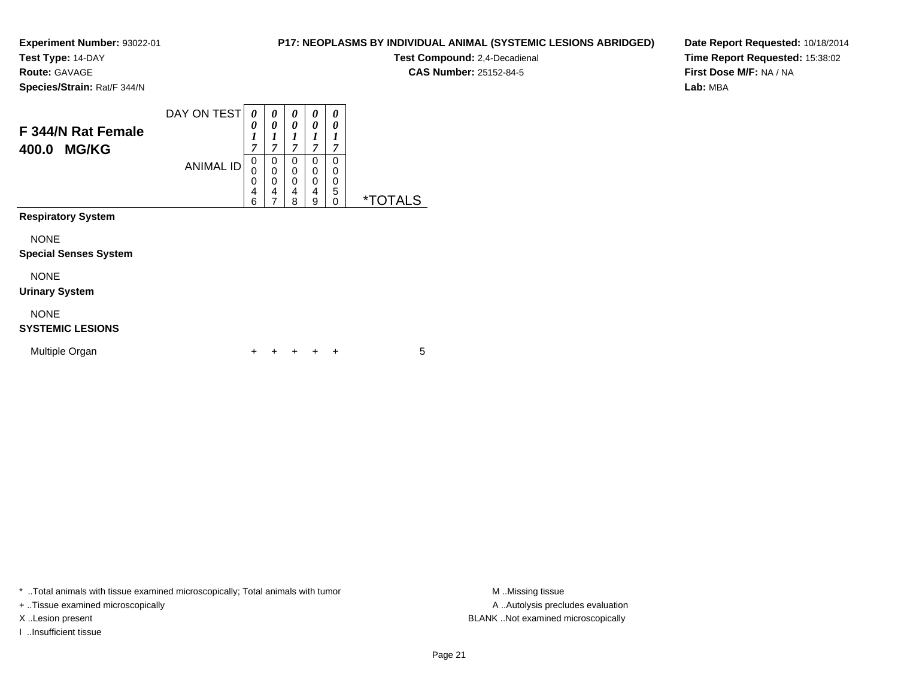**Test Type:** 14-DAY

**Route:** GAVAGE

**Species/Strain:** Rat/F 344/N

# **P17: NEOPLASMS BY INDIVIDUAL ANIMAL (SYSTEMIC LESIONS ABRIDGED)**

**Test Compound:** 2,4-Decadienal **CAS Number:** 25152-84-5

**Date Report Requested:** 10/18/2014**Time Report Requested:** 15:38:02**First Dose M/F:** NA / NA**Lab:** MBA

| F 344/N Rat Female<br><b>MG/KG</b><br>400.0 | DAY ON TEST<br><b>ANIMAL ID</b> | 0<br>0<br>1<br>$\overline{7}$<br>0<br>0<br>0<br>$\overline{4}$<br>6 | 0<br>0<br>1<br>$\overline{7}$<br>0<br>$\mathbf 0$<br>$\mathbf 0$<br>4<br>7 | 0<br>0<br>7<br>0<br>0<br>0<br>4<br>8 | 0<br>0<br>1<br>7<br>0<br>0<br>0<br>4<br>9 | 0<br>0<br>1<br>7<br>0<br>0<br>0<br>5<br>0 | <i><b>*TOTALS</b></i> |
|---------------------------------------------|---------------------------------|---------------------------------------------------------------------|----------------------------------------------------------------------------|--------------------------------------|-------------------------------------------|-------------------------------------------|-----------------------|
| <b>Respiratory System</b>                   |                                 |                                                                     |                                                                            |                                      |                                           |                                           |                       |
| <b>NONE</b><br><b>Special Senses System</b> |                                 |                                                                     |                                                                            |                                      |                                           |                                           |                       |
| <b>NONE</b><br><b>Urinary System</b>        |                                 |                                                                     |                                                                            |                                      |                                           |                                           |                       |
| <b>NONE</b><br><b>SYSTEMIC LESIONS</b>      |                                 |                                                                     |                                                                            |                                      |                                           |                                           |                       |
| Multiple Organ                              |                                 | ÷                                                                   |                                                                            |                                      |                                           | $\div$                                    | 5                     |

\* ..Total animals with tissue examined microscopically; Total animals with tumor **M** . Missing tissue M ..Missing tissue

+ ..Tissue examined microscopically

I ..Insufficient tissue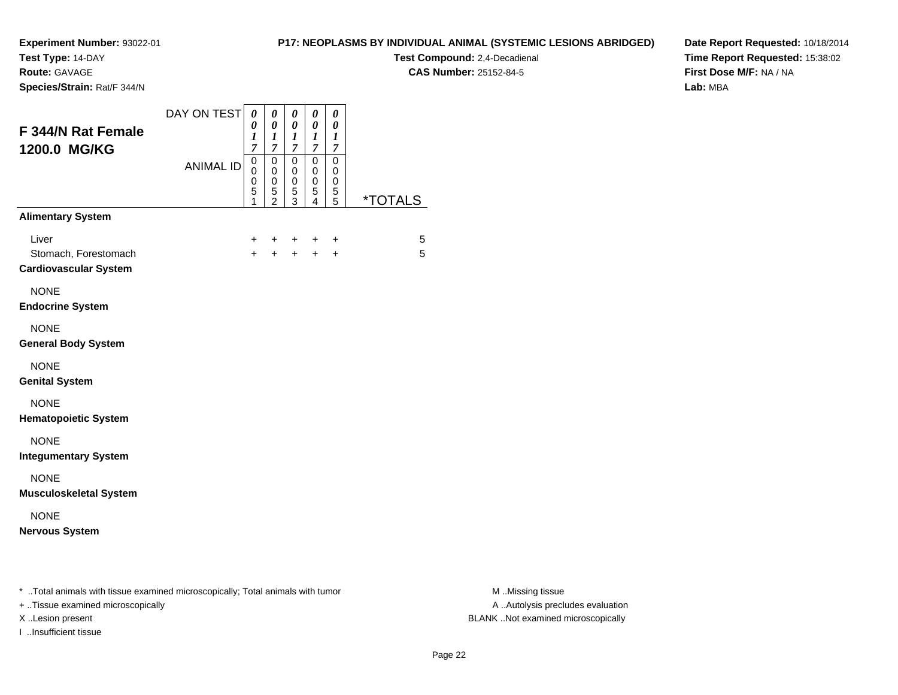**Test Type:** 14-DAY

**Route:** GAVAGE

**Species/Strain:** Rat/F 344/N

## **P17: NEOPLASMS BY INDIVIDUAL ANIMAL (SYSTEMIC LESIONS ABRIDGED)**

**Test Compound:** 2,4-Decadienal **CAS Number:** 25152-84-5

**Date Report Requested:** 10/18/2014**Time Report Requested:** 15:38:02**First Dose M/F:** NA / NA**Lab:** MBA

| <b>F 344/N Rat Female</b><br>1200.0 MG/KG                                                                           | DAY ON TEST      | 0<br>0<br>$\boldsymbol{l}$<br>7 | 0<br>$\boldsymbol{\theta}$<br>1<br>7         | 0<br>$\pmb{\theta}$<br>$\boldsymbol{l}$<br>$\overline{7}$ | 0<br>0<br>1<br>$\overline{7}$ | 0<br>$\boldsymbol{\theta}$<br>1<br>7 |                       |
|---------------------------------------------------------------------------------------------------------------------|------------------|---------------------------------|----------------------------------------------|-----------------------------------------------------------|-------------------------------|--------------------------------------|-----------------------|
|                                                                                                                     | <b>ANIMAL ID</b> | $\mathbf 0$<br>0<br>0<br>5<br>1 | $\mathbf 0$<br>0<br>0<br>5<br>$\overline{2}$ | $\mathbf 0$<br>0<br>0<br>$\mathbf 5$<br>3                 | 0<br>0<br>0<br>5<br>4         | 0<br>0<br>0<br>5<br>5                | <i><b>*TOTALS</b></i> |
| <b>Alimentary System</b>                                                                                            |                  |                                 |                                              |                                                           |                               |                                      |                       |
| Liver<br>Stomach, Forestomach<br><b>Cardiovascular System</b>                                                       |                  | +<br>$\ddot{}$                  | +<br>$+$                                     | ÷<br>$+$                                                  | $+$                           | +<br>$\ddot{}$                       | 5<br>5                |
| <b>NONE</b><br><b>Endocrine System</b>                                                                              |                  |                                 |                                              |                                                           |                               |                                      |                       |
| <b>NONE</b><br><b>General Body System</b>                                                                           |                  |                                 |                                              |                                                           |                               |                                      |                       |
| <b>NONE</b><br><b>Genital System</b>                                                                                |                  |                                 |                                              |                                                           |                               |                                      |                       |
| <b>NONE</b><br><b>Hematopoietic System</b>                                                                          |                  |                                 |                                              |                                                           |                               |                                      |                       |
| <b>NONE</b><br><b>Integumentary System</b>                                                                          |                  |                                 |                                              |                                                           |                               |                                      |                       |
| <b>NONE</b><br><b>Musculoskeletal System</b>                                                                        |                  |                                 |                                              |                                                           |                               |                                      |                       |
| <b>NONE</b><br><b>Nervous System</b>                                                                                |                  |                                 |                                              |                                                           |                               |                                      |                       |
| * Total animals with tissue examined microscopically; Total animals with tumor<br>+ Tissue examined microsconically |                  |                                 |                                              |                                                           |                               |                                      |                       |

+ ..Tissue examined microscopically A ..Autolysis precludes evaluation

I ..Insufficient tissue

M ..Missing tissue X ..Lesion present BLANK ..Not examined microscopically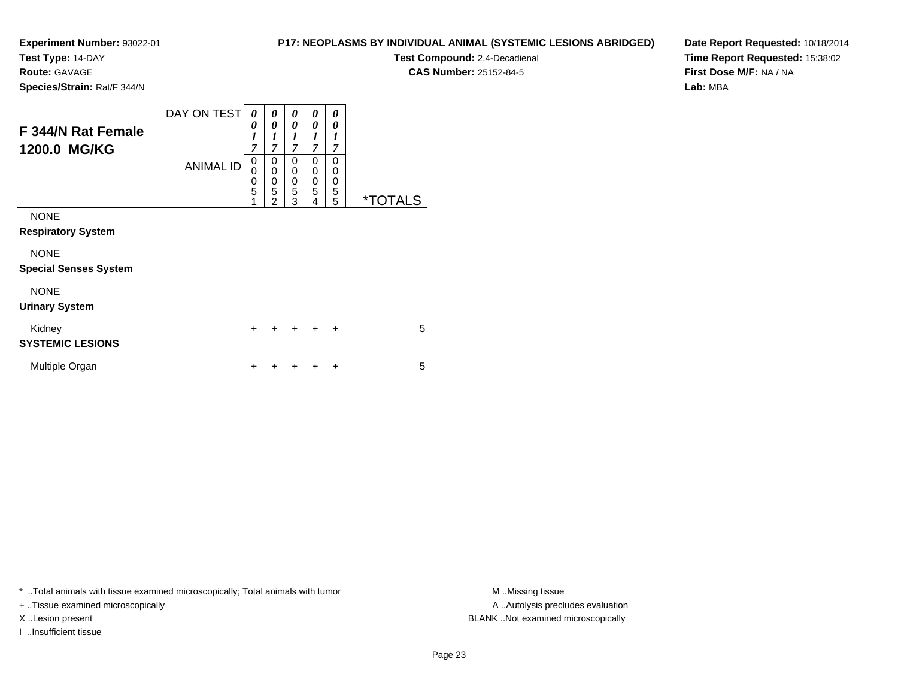**Test Type:** 14-DAY

**Route:** GAVAGE

**Species/Strain:** Rat/F 344/N

# **P17: NEOPLASMS BY INDIVIDUAL ANIMAL (SYSTEMIC LESIONS ABRIDGED)**

**Test Compound:** 2,4-Decadienal **CAS Number:** 25152-84-5

**Date Report Requested:** 10/18/2014**Time Report Requested:** 15:38:02**First Dose M/F:** NA / NA**Lab:** MBA

| F 344/N Rat Female<br>1200.0 MG/KG          | DAY ON TEST<br><b>ANIMAL ID</b> | 0<br>0<br>$\boldsymbol{l}$<br>$\overline{7}$<br>0<br>$\mathbf 0$<br>$\frac{0}{5}$ | 0<br>0<br>1<br>7<br>$\Omega$<br>$\mathbf 0$<br>$\mathbf 0$ | 0<br>0<br>1<br>$\overline{7}$<br>0<br>0<br>0 | 0<br>0<br>1<br>$\overline{7}$<br>0<br>0<br>0 | 0<br>0<br>$\boldsymbol{l}$<br>$\overline{7}$<br>0<br>0<br>0 |                       |
|---------------------------------------------|---------------------------------|-----------------------------------------------------------------------------------|------------------------------------------------------------|----------------------------------------------|----------------------------------------------|-------------------------------------------------------------|-----------------------|
|                                             |                                 | 1                                                                                 | 5<br>$\overline{2}$                                        | 5<br>3                                       | 5<br>4                                       | 5<br>5                                                      | <i><b>*TOTALS</b></i> |
| <b>NONE</b><br><b>Respiratory System</b>    |                                 |                                                                                   |                                                            |                                              |                                              |                                                             |                       |
| <b>NONE</b><br><b>Special Senses System</b> |                                 |                                                                                   |                                                            |                                              |                                              |                                                             |                       |
| <b>NONE</b><br><b>Urinary System</b>        |                                 |                                                                                   |                                                            |                                              |                                              |                                                             |                       |
| Kidney<br><b>SYSTEMIC LESIONS</b>           |                                 | $\ddot{}$                                                                         |                                                            |                                              | $\ddot{}$                                    | $\ddot{}$                                                   | 5                     |
| Multiple Organ                              |                                 | +                                                                                 |                                                            |                                              |                                              | ÷                                                           | 5                     |

\* ..Total animals with tissue examined microscopically; Total animals with tumor **M** . Missing tissue M ..Missing tissue

+ ..Tissue examined microscopically

I ..Insufficient tissue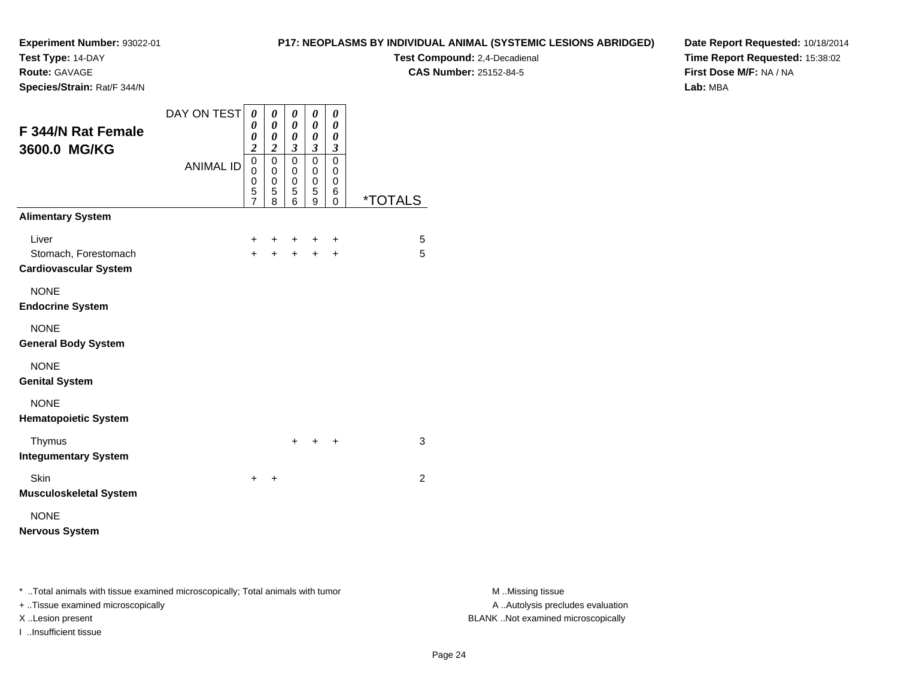**Test Type:** 14-DAY

**Route:** GAVAGE

**Species/Strain:** Rat/F 344/N

## **P17: NEOPLASMS BY INDIVIDUAL ANIMAL (SYSTEMIC LESIONS ABRIDGED)**

**Test Compound:** 2,4-Decadienal **CAS Number:** 25152-84-5

**Date Report Requested:** 10/18/2014**Time Report Requested:** 15:38:02**First Dose M/F:** NA / NA**Lab:** MBA

| F 344/N Rat Female<br>3600.0 MG/KG                            | DAY ON TEST      | 0<br>0<br>0<br>$\overline{c}$                | 0<br>0<br>0<br>$\overline{2}$   | 0<br>0<br>0<br>$\mathfrak{z}$             | 0<br>0<br>0<br>$\mathfrak{z}$             | 0<br>0<br>0<br>3                          |         |
|---------------------------------------------------------------|------------------|----------------------------------------------|---------------------------------|-------------------------------------------|-------------------------------------------|-------------------------------------------|---------|
|                                                               | <b>ANIMAL ID</b> | 0<br>0<br>$\mathbf 0$<br>5<br>$\overline{7}$ | 0<br>0<br>$\mathbf 0$<br>5<br>8 | $\mathbf 0$<br>0<br>$\mathsf 0$<br>5<br>6 | $\mathbf 0$<br>0<br>$\mathsf 0$<br>5<br>9 | $\mathbf 0$<br>0<br>$\mathbf 0$<br>6<br>0 | *TOTALS |
| <b>Alimentary System</b>                                      |                  |                                              |                                 |                                           |                                           |                                           |         |
| Liver<br>Stomach, Forestomach<br><b>Cardiovascular System</b> |                  | $\pm$<br>$+$                                 | ÷<br>$\ddot{}$                  | $\ddot{}$<br>$+$                          | ÷<br>$+$                                  | $\ddot{}$<br>$\ddot{}$                    | 5<br>5  |
| <b>NONE</b><br><b>Endocrine System</b>                        |                  |                                              |                                 |                                           |                                           |                                           |         |
| <b>NONE</b><br><b>General Body System</b>                     |                  |                                              |                                 |                                           |                                           |                                           |         |
| <b>NONE</b><br><b>Genital System</b>                          |                  |                                              |                                 |                                           |                                           |                                           |         |
| <b>NONE</b><br><b>Hematopoietic System</b>                    |                  |                                              |                                 |                                           |                                           |                                           |         |
| Thymus<br><b>Integumentary System</b>                         |                  |                                              |                                 | $\ddot{}$                                 | ÷                                         | ÷                                         | 3       |
| Skin<br><b>Musculoskeletal System</b>                         |                  | $\pm$                                        | ÷                               |                                           |                                           |                                           | 2       |
| <b>NONE</b><br><b>Nervous System</b>                          |                  |                                              |                                 |                                           |                                           |                                           |         |

\* ..Total animals with tissue examined microscopically; Total animals with tumor **M** . Missing tissue M ..Missing tissue

+ ..Tissue examined microscopically

I ..Insufficient tissue